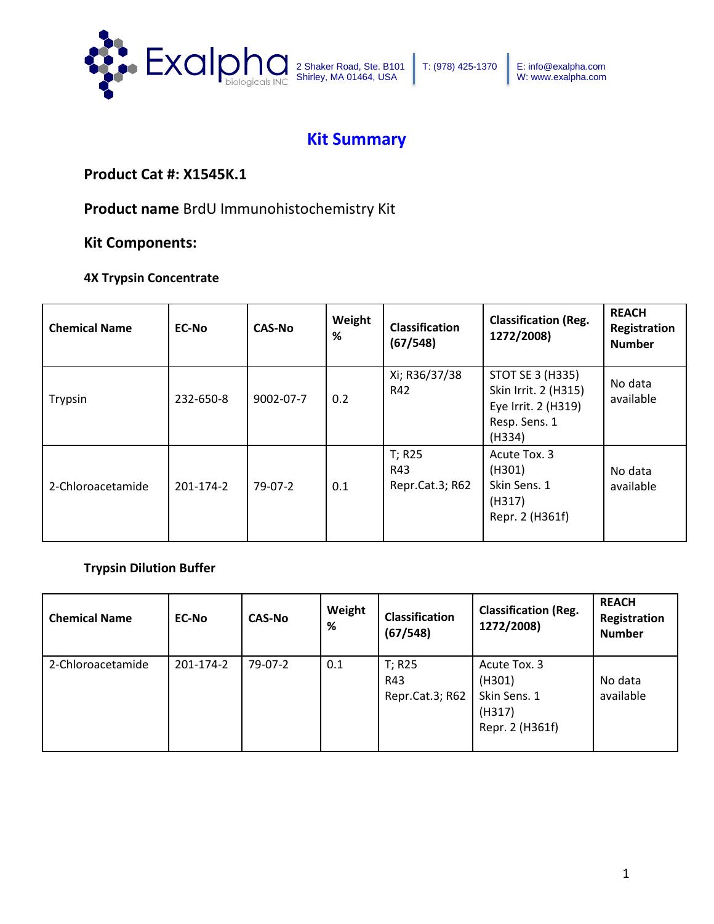

# **Kit Summary**

## **Product Cat #: X1545K.1**

**Product name** BrdU Immunohistochemistry Kit

### **Kit Components:**

### **4X Trypsin Concentrate**

| <b>Chemical Name</b> | <b>EC-No</b> | <b>CAS-No</b> | Weight<br>% | <b>Classification</b><br>(67/548) | <b>Classification (Reg.</b><br>1272/2008)                                                         | <b>REACH</b><br>Registration<br><b>Number</b> |
|----------------------|--------------|---------------|-------------|-----------------------------------|---------------------------------------------------------------------------------------------------|-----------------------------------------------|
| Trypsin              | 232-650-8    | 9002-07-7     | 0.2         | Xi; R36/37/38<br>R42              | <b>STOT SE 3 (H335)</b><br>Skin Irrit. 2 (H315)<br>Eye Irrit. 2 (H319)<br>Resp. Sens. 1<br>(H334) | No data<br>available                          |
| 2-Chloroacetamide    | 201-174-2    | $79-07-2$     | 0.1         | T; R25<br>R43<br>Repr.Cat.3; R62  | Acute Tox. 3<br>(H301)<br>Skin Sens. 1<br>(H317)<br>Repr. 2 (H361f)                               | No data<br>available                          |

### **Trypsin Dilution Buffer**

| <b>Chemical Name</b> | <b>EC-No</b> | <b>CAS-No</b> | Weight<br>% | <b>Classification</b><br>(67/548) | <b>Classification (Reg.</b><br>1272/2008)                           | <b>REACH</b><br>Registration<br><b>Number</b> |
|----------------------|--------------|---------------|-------------|-----------------------------------|---------------------------------------------------------------------|-----------------------------------------------|
| 2-Chloroacetamide    | 201-174-2    | 79-07-2       | 0.1         | T; R25<br>R43<br>Repr.Cat.3; R62  | Acute Tox. 3<br>(H301)<br>Skin Sens. 1<br>(H317)<br>Repr. 2 (H361f) | No data<br>available                          |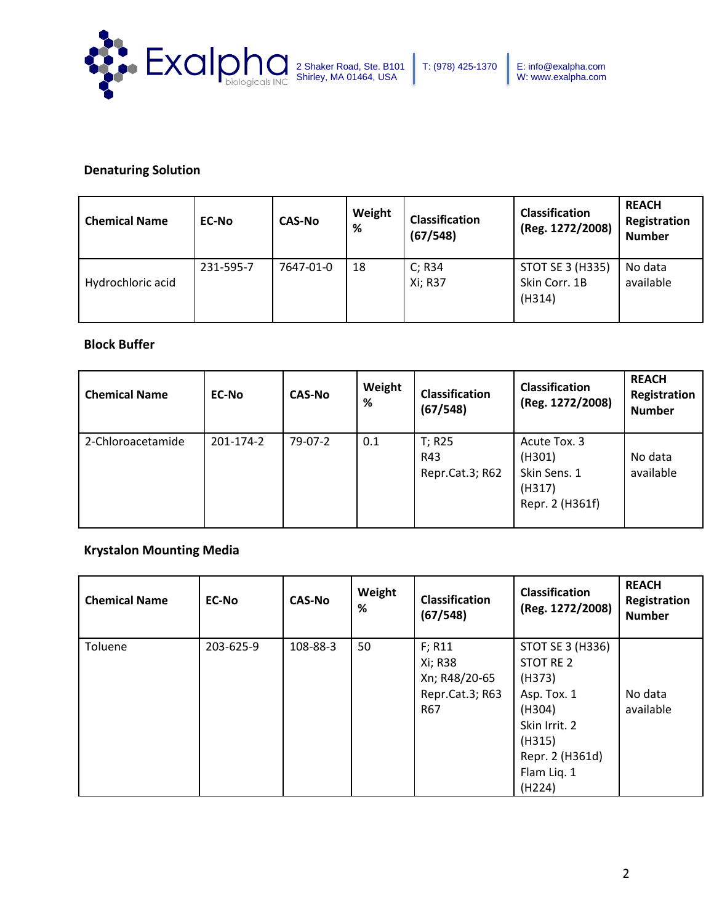

### **Denaturing Solution**

| <b>Chemical Name</b> | <b>EC-No</b> | <b>CAS-No</b> | Weight<br>% | <b>Classification</b><br>(67/548) | <b>Classification</b><br>(Reg. 1272/2008)          | <b>REACH</b><br>Registration<br><b>Number</b> |
|----------------------|--------------|---------------|-------------|-----------------------------------|----------------------------------------------------|-----------------------------------------------|
| Hydrochloric acid    | 231-595-7    | 7647-01-0     | 18          | C; R34<br>Xi; R37                 | <b>STOT SE 3 (H335)</b><br>Skin Corr. 1B<br>(H314) | No data<br>available                          |

### **Block Buffer**

| <b>Chemical Name</b> | <b>EC-No</b> | <b>CAS-No</b> | Weight<br>% | <b>Classification</b><br>(67/548) | <b>Classification</b><br>(Reg. 1272/2008)                           | <b>REACH</b><br>Registration<br><b>Number</b> |
|----------------------|--------------|---------------|-------------|-----------------------------------|---------------------------------------------------------------------|-----------------------------------------------|
| 2-Chloroacetamide    | 201-174-2    | 79-07-2       | 0.1         | T; R25<br>R43<br>Repr.Cat.3; R62  | Acute Tox. 3<br>(H301)<br>Skin Sens. 1<br>(H317)<br>Repr. 2 (H361f) | No data<br>available                          |

### **Krystalon Mounting Media**

| <b>Chemical Name</b> | <b>EC-No</b> | <b>CAS-No</b> | Weight<br>% | <b>Classification</b><br>(67/548)                            | <b>Classification</b><br>(Reg. 1272/2008)                                                                      | <b>REACH</b><br>Registration<br><b>Number</b> |
|----------------------|--------------|---------------|-------------|--------------------------------------------------------------|----------------------------------------------------------------------------------------------------------------|-----------------------------------------------|
| Toluene              | 203-625-9    | 108-88-3      | 50          | F; R11<br>Xi; R38<br>Xn; R48/20-65<br>Repr.Cat.3; R63<br>R67 | STOT SE 3 (H336)<br>STOT RE 2<br>(H373)<br>Asp. Tox. 1<br>(H304)<br>Skin Irrit. 2<br>(H315)<br>Repr. 2 (H361d) | No data<br>available                          |
|                      |              |               |             |                                                              | Flam Lig. 1<br>(H224)                                                                                          |                                               |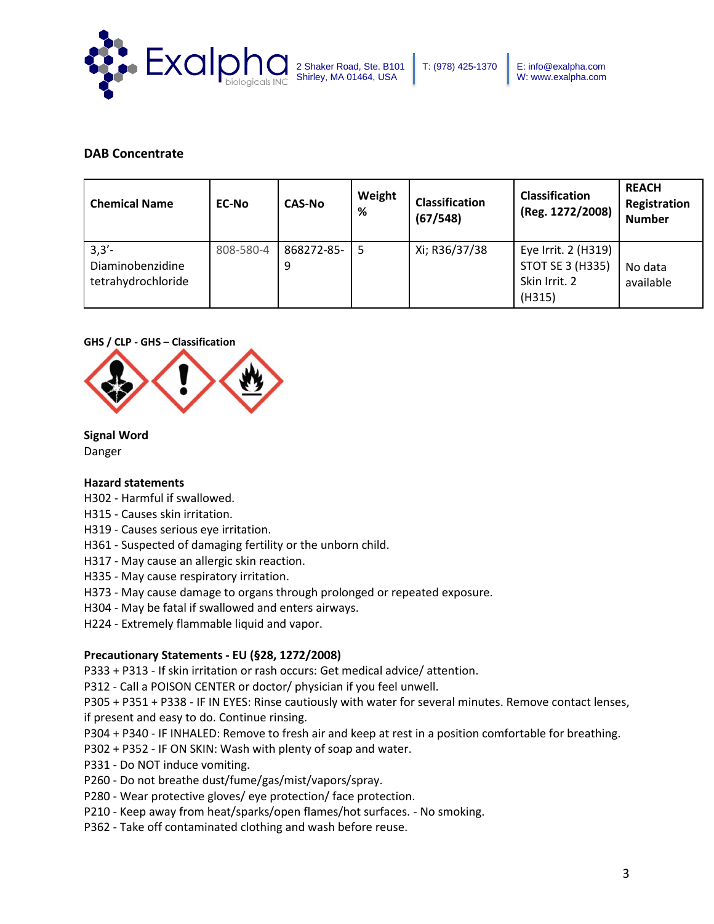

### **DAB Concentrate**

| <b>Chemical Name</b>                               | <b>EC-No</b> | <b>CAS-No</b>   | Weight<br>% | <b>Classification</b><br>(67/548) | <b>Classification</b><br>(Reg. 1272/2008)                                 | <b>REACH</b><br>Registration<br><b>Number</b> |
|----------------------------------------------------|--------------|-----------------|-------------|-----------------------------------|---------------------------------------------------------------------------|-----------------------------------------------|
| $3,3'$ -<br>Diaminobenzidine<br>tetrahydrochloride | 808-580-4    | 868272-85-<br>9 | 5           | Xi; R36/37/38                     | Eye Irrit. 2 (H319)<br><b>STOT SE 3 (H335)</b><br>Skin Irrit. 2<br>(H315) | No data<br>available                          |

### **GHS / CLP - GHS – Classification**



### **Signal Word**

Danger

### **Hazard statements**

- H302 Harmful if swallowed.
- H315 Causes skin irritation.
- H319 Causes serious eye irritation.
- H361 Suspected of damaging fertility or the unborn child.
- H317 May cause an allergic skin reaction.
- H335 May cause respiratory irritation.
- H373 May cause damage to organs through prolonged or repeated exposure.
- H304 May be fatal if swallowed and enters airways.
- H224 Extremely flammable liquid and vapor.

### **Precautionary Statements - EU (§28, 1272/2008)**

P333 + P313 - If skin irritation or rash occurs: Get medical advice/ attention.

P312 - Call a POISON CENTER or doctor/ physician if you feel unwell.

P305 + P351 + P338 - IF IN EYES: Rinse cautiously with water for several minutes. Remove contact lenses, if present and easy to do. Continue rinsing.

- P304 + P340 IF INHALED: Remove to fresh air and keep at rest in a position comfortable for breathing.
- P302 + P352 IF ON SKIN: Wash with plenty of soap and water.
- P331 Do NOT induce vomiting.
- P260 Do not breathe dust/fume/gas/mist/vapors/spray.
- P280 Wear protective gloves/ eye protection/ face protection.
- P210 Keep away from heat/sparks/open flames/hot surfaces. No smoking.
- P362 Take off contaminated clothing and wash before reuse.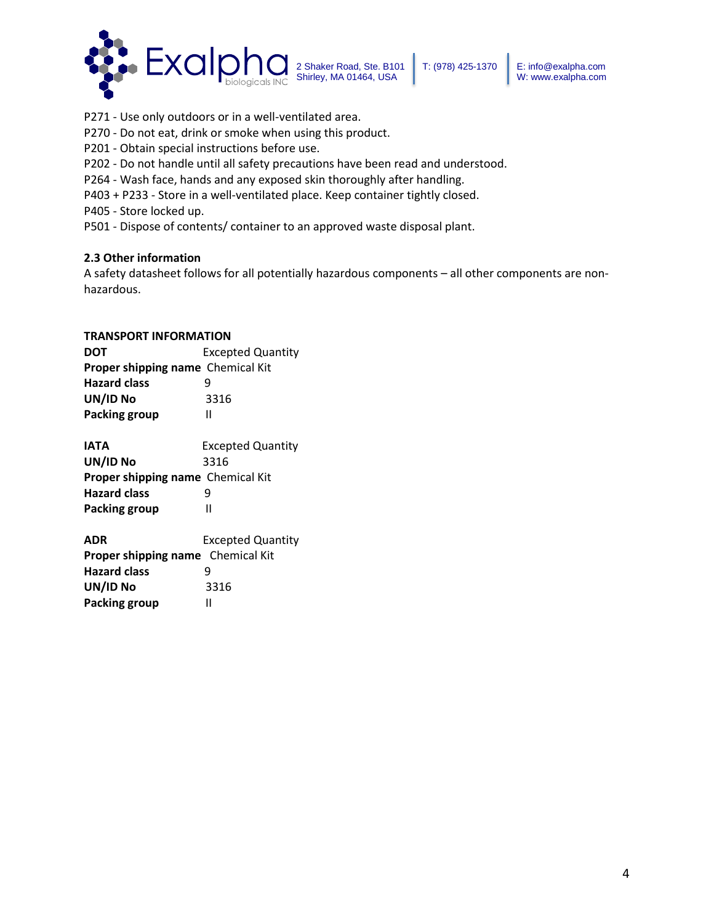

- P271 Use only outdoors or in a well-ventilated area.
- P270 Do not eat, drink or smoke when using this product.
- P201 Obtain special instructions before use.
- P202 Do not handle until all safety precautions have been read and understood.
- P264 Wash face, hands and any exposed skin thoroughly after handling.
- P403 + P233 Store in a well-ventilated place. Keep container tightly closed.
- P405 Store locked up.
- P501 Dispose of contents/ container to an approved waste disposal plant.

### **2.3 Other information**

A safety datasheet follows for all potentially hazardous components – all other components are nonhazardous.

#### **TRANSPORT INFORMATION**

| <b>DOT</b>                        | <b>Excepted Quantity</b> |
|-----------------------------------|--------------------------|
| Proper shipping name Chemical Kit |                          |
| <b>Hazard class</b>               |                          |
| UN/ID No                          | 3316                     |
| <b>Packing group</b>              | н                        |
| <b>IATA</b>                       | <b>Excepted Quantity</b> |
| UN/ID No                          | 3316                     |
| Proper shipping name Chemical Kit |                          |
| <b>Hazard class</b>               | 9                        |
| <b>Packing group</b>              |                          |

| ADR                                      | <b>Excepted Quantity</b> |
|------------------------------------------|--------------------------|
| <b>Proper shipping name</b> Chemical Kit |                          |
| <b>Hazard class</b>                      | q                        |
| UN/ID No                                 | 3316                     |
| Packing group                            | н                        |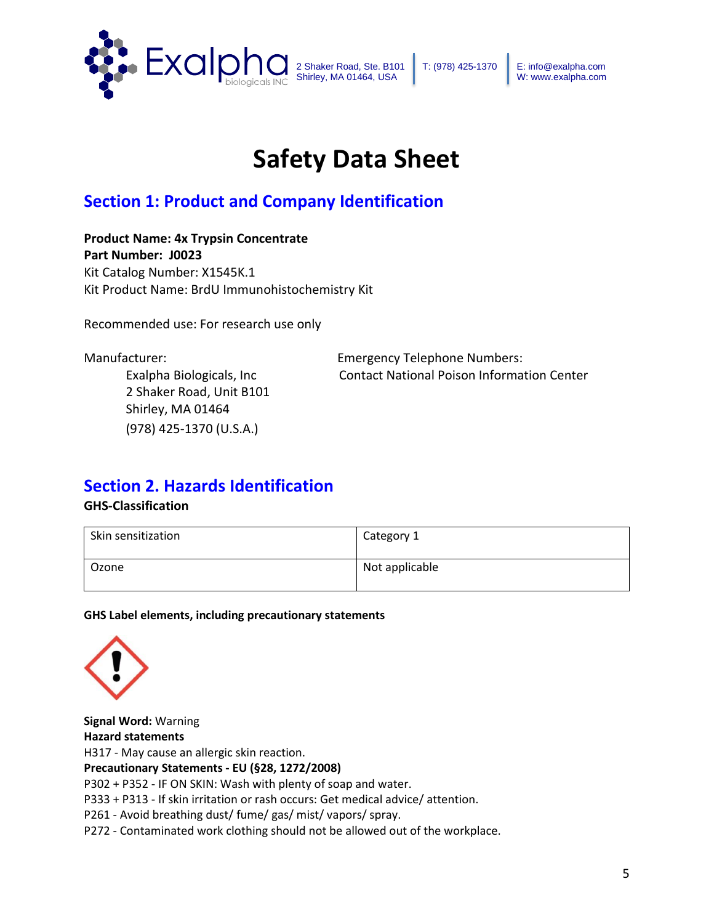

# **Safety Data Sheet**

# **Section 1: Product and Company Identification**

**Product Name: 4x Trypsin Concentrate Part Number: J0023** Kit Catalog Number: X1545K.1 Kit Product Name: BrdU Immunohistochemistry Kit

Recommended use: For research use only

2 Shaker Road, Unit B101 Shirley, MA 01464 (978) 425-1370 (U.S.A.)

Manufacturer: Emergency Telephone Numbers: Exalpha Biologicals, Inc Contact National Poison Information Center

## **Section 2. Hazards Identification**

### **GHS-Classification**

| Skin sensitization | Category 1     |
|--------------------|----------------|
| Ozone              | Not applicable |

**GHS Label elements, including precautionary statements**



**Signal Word:** Warning **Hazard statements** H317 - May cause an allergic skin reaction. **Precautionary Statements - EU (§28, 1272/2008)** P302 + P352 - IF ON SKIN: Wash with plenty of soap and water. P333 + P313 - If skin irritation or rash occurs: Get medical advice/ attention. P261 - Avoid breathing dust/ fume/ gas/ mist/ vapors/ spray.

P272 - Contaminated work clothing should not be allowed out of the workplace.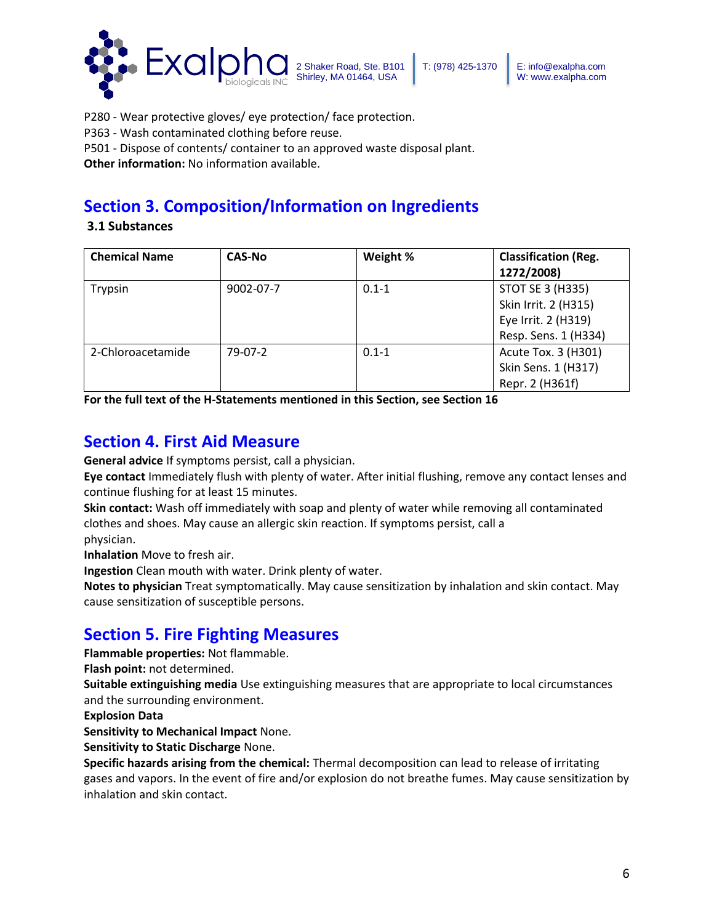

P280 - Wear protective gloves/ eye protection/ face protection.

P363 - Wash contaminated clothing before reuse.

P501 - Dispose of contents/ container to an approved waste disposal plant.

**Other information:** No information available.

# **Section 3. Composition/Information on Ingredients**

**3.1 Substances** 

| <b>Chemical Name</b> | <b>CAS-No</b> | Weight %  | <b>Classification (Reg.</b><br>1272/2008) |
|----------------------|---------------|-----------|-------------------------------------------|
| Trypsin              | 9002-07-7     | $0.1 - 1$ | STOT SE 3 (H335)                          |
|                      |               |           | Skin Irrit. 2 (H315)                      |
|                      |               |           | Eye Irrit. 2 (H319)                       |
|                      |               |           | Resp. Sens. 1 (H334)                      |
| 2-Chloroacetamide    | 79-07-2       | $0.1 - 1$ | Acute Tox. 3 (H301)                       |
|                      |               |           | Skin Sens. 1 (H317)                       |
|                      |               |           | Repr. 2 (H361f)                           |

**For the full text of the H-Statements mentioned in this Section, see Section 16**

# **Section 4. First Aid Measure**

**General advice** If symptoms persist, call a physician.

**Eye contact** Immediately flush with plenty of water. After initial flushing, remove any contact lenses and continue flushing for at least 15 minutes.

**Skin contact:** Wash off immediately with soap and plenty of water while removing all contaminated clothes and shoes. May cause an allergic skin reaction. If symptoms persist, call a physician.

**Inhalation** Move to fresh air.

**Ingestion** Clean mouth with water. Drink plenty of water.

**Notes to physician** Treat symptomatically. May cause sensitization by inhalation and skin contact. May cause sensitization of susceptible persons.

# **Section 5. Fire Fighting Measures**

**Flammable properties:** Not flammable.

**Flash point:** not determined.

**Suitable extinguishing media** Use extinguishing measures that are appropriate to local circumstances and the surrounding environment.

**Explosion Data**

**Sensitivity to Mechanical Impact** None.

**Sensitivity to Static Discharge** None.

**Specific hazards arising from the chemical:** Thermal decomposition can lead to release of irritating gases and vapors. In the event of fire and/or explosion do not breathe fumes. May cause sensitization by inhalation and skin contact.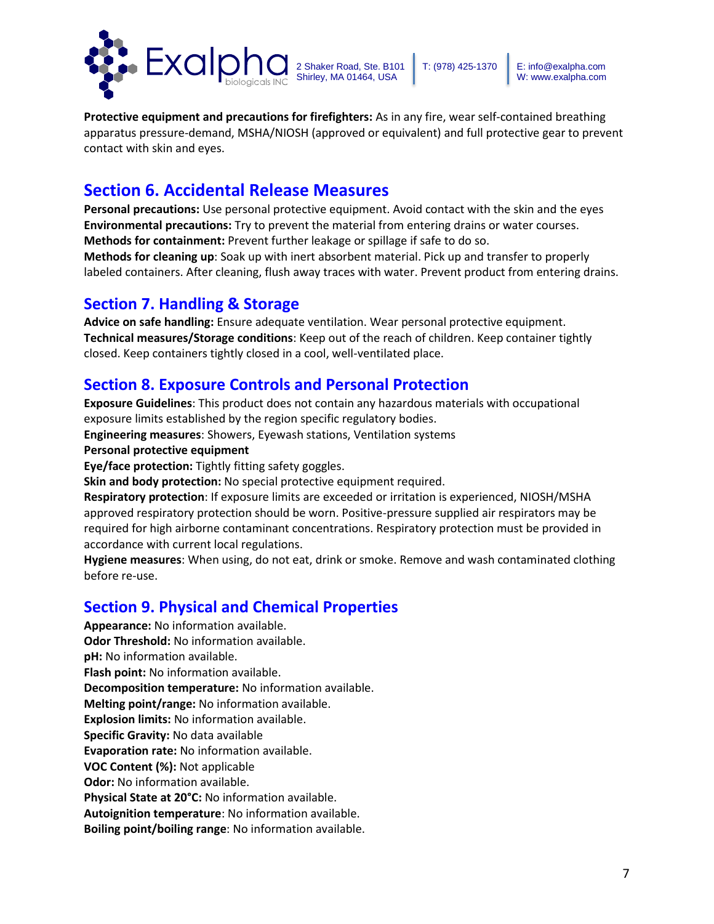

**Protective equipment and precautions for firefighters:** As in any fire, wear self-contained breathing apparatus pressure-demand, MSHA/NIOSH (approved or equivalent) and full protective gear to prevent contact with skin and eyes.

# **Section 6. Accidental Release Measures**

**Personal precautions:** Use personal protective equipment. Avoid contact with the skin and the eyes **Environmental precautions:** Try to prevent the material from entering drains or water courses. **Methods for containment:** Prevent further leakage or spillage if safe to do so.

**Methods for cleaning up**: Soak up with inert absorbent material. Pick up and transfer to properly labeled containers. After cleaning, flush away traces with water. Prevent product from entering drains.

### **Section 7. Handling & Storage**

**Advice on safe handling:** Ensure adequate ventilation. Wear personal protective equipment. **Technical measures/Storage conditions**: Keep out of the reach of children. Keep container tightly closed. Keep containers tightly closed in a cool, well-ventilated place.

## **Section 8. Exposure Controls and Personal Protection**

**Exposure Guidelines**: This product does not contain any hazardous materials with occupational exposure limits established by the region specific regulatory bodies.

**Engineering measures**: Showers, Eyewash stations, Ventilation systems

### **Personal protective equipment**

**Eye/face protection:** Tightly fitting safety goggles.

**Skin and body protection:** No special protective equipment required.

**Respiratory protection**: If exposure limits are exceeded or irritation is experienced, NIOSH/MSHA approved respiratory protection should be worn. Positive-pressure supplied air respirators may be required for high airborne contaminant concentrations. Respiratory protection must be provided in accordance with current local regulations.

**Hygiene measures**: When using, do not eat, drink or smoke. Remove and wash contaminated clothing before re-use.

## **Section 9. Physical and Chemical Properties**

**Appearance:** No information available. **Odor Threshold:** No information available. **pH:** No information available. **Flash point:** No information available. **Decomposition temperature:** No information available. **Melting point/range:** No information available. **Explosion limits:** No information available. **Specific Gravity:** No data available **Evaporation rate:** No information available. **VOC Content (%):** Not applicable **Odor:** No information available. **Physical State at 20°C:** No information available. **Autoignition temperature**: No information available. **Boiling point/boiling range**: No information available.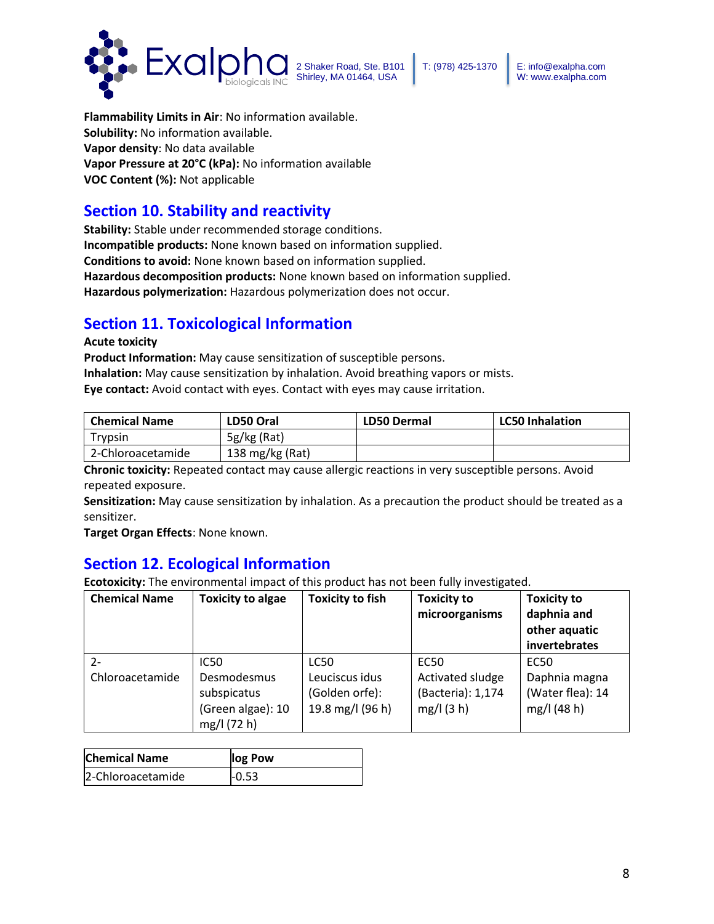

**Flammability Limits in Air**: No information available. **Solubility:** No information available. **Vapor density**: No data available **Vapor Pressure at 20°C (kPa):** No information available **VOC Content (%):** Not applicable

## **Section 10. Stability and reactivity**

**Stability:** Stable under recommended storage conditions. **Incompatible products:** None known based on information supplied. **Conditions to avoid:** None known based on information supplied. **Hazardous decomposition products:** None known based on information supplied. **Hazardous polymerization:** Hazardous polymerization does not occur.

## **Section 11. Toxicological Information**

### **Acute toxicity**

**Product Information:** May cause sensitization of susceptible persons. **Inhalation:** May cause sensitization by inhalation. Avoid breathing vapors or mists. **Eye contact:** Avoid contact with eyes. Contact with eyes may cause irritation.

| <b>Chemical Name</b> | LD50 Oral       | <b>LD50 Dermal</b> | <b>LC50 Inhalation</b> |
|----------------------|-----------------|--------------------|------------------------|
| Trypsin              | $5g/kg$ (Rat)   |                    |                        |
| 2-Chloroacetamide    | 138 mg/kg (Rat) |                    |                        |

**Chronic toxicity:** Repeated contact may cause allergic reactions in very susceptible persons. Avoid repeated exposure.

**Sensitization:** May cause sensitization by inhalation. As a precaution the product should be treated as a sensitizer.

**Target Organ Effects**: None known.

## **Section 12. Ecological Information**

**Ecotoxicity:** The environmental impact of this product has not been fully investigated.

| <b>Chemical Name</b> | <b>Toxicity to algae</b>                                       | <b>Toxicity to fish</b>                              | <b>Toxicity to</b><br>microorganisms               | <b>Toxicity to</b><br>daphnia and<br>other aquatic<br>invertebrates |
|----------------------|----------------------------------------------------------------|------------------------------------------------------|----------------------------------------------------|---------------------------------------------------------------------|
| $2 -$                | <b>IC50</b>                                                    | <b>LC50</b>                                          | <b>EC50</b>                                        | <b>EC50</b>                                                         |
| Chloroacetamide      | Desmodesmus<br>subspicatus<br>(Green algae): 10<br>mg/l (72 h) | Leuciscus idus<br>(Golden orfe):<br>19.8 mg/l (96 h) | Activated sludge<br>(Bacteria): 1,174<br>mg/l(3 h) | Daphnia magna<br>(Water flea): 14<br>mg/l (48 h)                    |

| <b>Chemical Name</b> | log Pow |
|----------------------|---------|
| 2-Chloroacetamide    | $-0.53$ |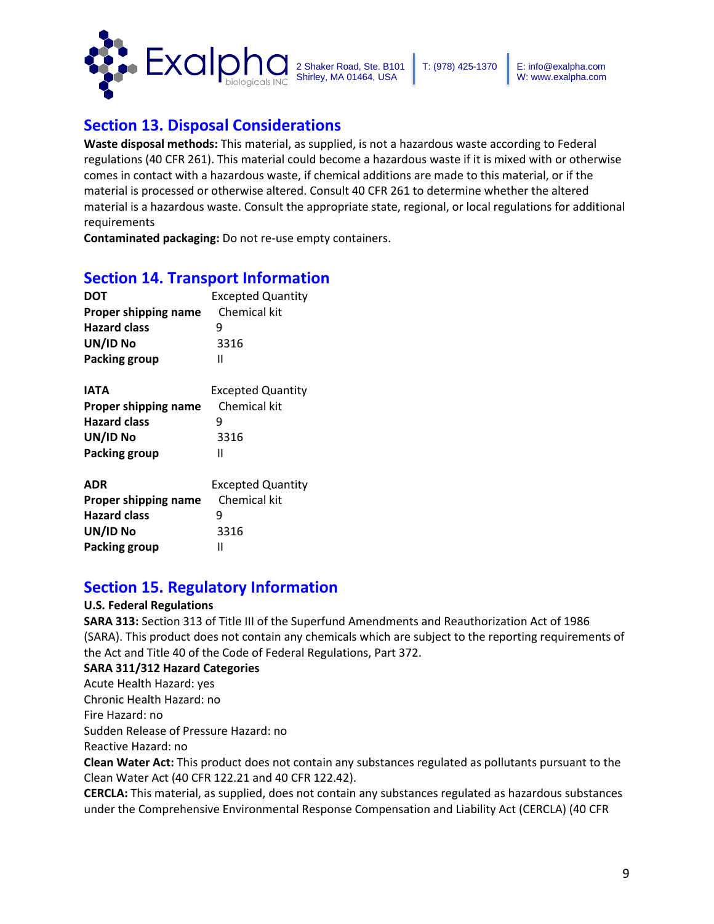

# **Section 13. Disposal Considerations**

**Waste disposal methods:** This material, as supplied, is not a hazardous waste according to Federal regulations (40 CFR 261). This material could become a hazardous waste if it is mixed with or otherwise comes in contact with a hazardous waste, if chemical additions are made to this material, or if the material is processed or otherwise altered. Consult 40 CFR 261 to determine whether the altered material is a hazardous waste. Consult the appropriate state, regional, or local regulations for additional requirements

**Contaminated packaging:** Do not re-use empty containers.

## **Section 14. Transport Information**

| <b>DOT</b>           | <b>Excepted Quantity</b> |
|----------------------|--------------------------|
| Proper shipping name | Chemical kit             |
| <b>Hazard class</b>  | q                        |
| UN/ID No             | 3316                     |
| Packing group        | Ш                        |

| <b>IATA</b>          | <b>Excepted Quantity</b> |  |
|----------------------|--------------------------|--|
| Proper shipping name | Chemical kit             |  |
| <b>Hazard class</b>  |                          |  |
| UN/ID No             | 3316                     |  |
| Packing group        | н                        |  |
|                      |                          |  |

| <b>ADR</b>           | <b>Excepted Quantity</b> |  |
|----------------------|--------------------------|--|
| Proper shipping name | Chemical kit             |  |
| <b>Hazard class</b>  | q                        |  |
| UN/ID No             | 3316                     |  |
| <b>Packing group</b> | Ш                        |  |

## **Section 15. Regulatory Information**

### **U.S. Federal Regulations**

**SARA 313:** Section 313 of Title III of the Superfund Amendments and Reauthorization Act of 1986 (SARA). This product does not contain any chemicals which are subject to the reporting requirements of the Act and Title 40 of the Code of Federal Regulations, Part 372.

### **SARA 311/312 Hazard Categories**

Acute Health Hazard: yes

Chronic Health Hazard: no

Fire Hazard: no

Sudden Release of Pressure Hazard: no

Reactive Hazard: no

**Clean Water Act:** This product does not contain any substances regulated as pollutants pursuant to the Clean Water Act (40 CFR 122.21 and 40 CFR 122.42).

**CERCLA:** This material, as supplied, does not contain any substances regulated as hazardous substances under the Comprehensive Environmental Response Compensation and Liability Act (CERCLA) (40 CFR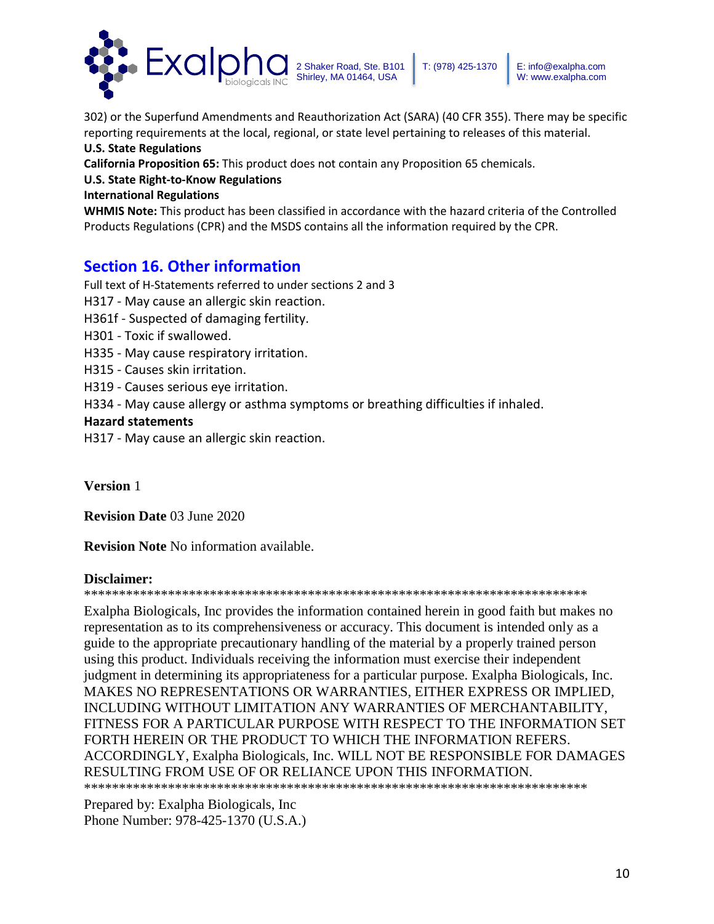

302) or the Superfund Amendments and Reauthorization Act (SARA) (40 CFR 355). There may be specific reporting requirements at the local, regional, or state level pertaining to releases of this material.

### **U.S. State Regulations**

**California Proposition 65:** This product does not contain any Proposition 65 chemicals.

### **U.S. State Right-to-Know Regulations**

### **International Regulations**

**WHMIS Note:** This product has been classified in accordance with the hazard criteria of the Controlled Products Regulations (CPR) and the MSDS contains all the information required by the CPR.

## **Section 16. Other information**

Full text of H-Statements referred to under sections 2 and 3 H317 - May cause an allergic skin reaction. H361f - Suspected of damaging fertility. H301 - Toxic if swallowed. H335 - May cause respiratory irritation. H315 - Causes skin irritation. H319 - Causes serious eye irritation. H334 - May cause allergy or asthma symptoms or breathing difficulties if inhaled. **Hazard statements**  H317 - May cause an allergic skin reaction.

**Version** 1

**Revision Date** 03 June 2020

**Revision Note** No information available.

### **Disclaimer:**

### \*\*\*\*\*\*\*\*\*\*\*\*\*\*\*\*\*\*\*\*\*\*\*\*\*\*\*\*\*\*\*\*\*\*\*\*\*\*\*\*\*\*\*\*\*\*\*\*\*\*\*\*\*\*\*\*\*\*\*\*\*\*\*\*\*\*\*\*\*\*\*\*

Exalpha Biologicals, Inc provides the information contained herein in good faith but makes no representation as to its comprehensiveness or accuracy. This document is intended only as a guide to the appropriate precautionary handling of the material by a properly trained person using this product. Individuals receiving the information must exercise their independent judgment in determining its appropriateness for a particular purpose. Exalpha Biologicals, Inc. MAKES NO REPRESENTATIONS OR WARRANTIES, EITHER EXPRESS OR IMPLIED, INCLUDING WITHOUT LIMITATION ANY WARRANTIES OF MERCHANTABILITY, FITNESS FOR A PARTICULAR PURPOSE WITH RESPECT TO THE INFORMATION SET FORTH HEREIN OR THE PRODUCT TO WHICH THE INFORMATION REFERS. ACCORDINGLY, Exalpha Biologicals, Inc. WILL NOT BE RESPONSIBLE FOR DAMAGES RESULTING FROM USE OF OR RELIANCE UPON THIS INFORMATION. \*\*\*\*\*\*\*\*\*\*\*\*\*\*\*\*\*\*\*\*\*\*\*\*\*\*\*\*\*\*\*\*\*\*\*\*\*\*\*\*\*\*\*\*\*\*\*\*\*\*\*\*\*\*\*\*\*\*\*\*\*\*\*\*\*\*\*\*\*\*\*\*

Prepared by: Exalpha Biologicals, Inc Phone Number: 978-425-1370 (U.S.A.)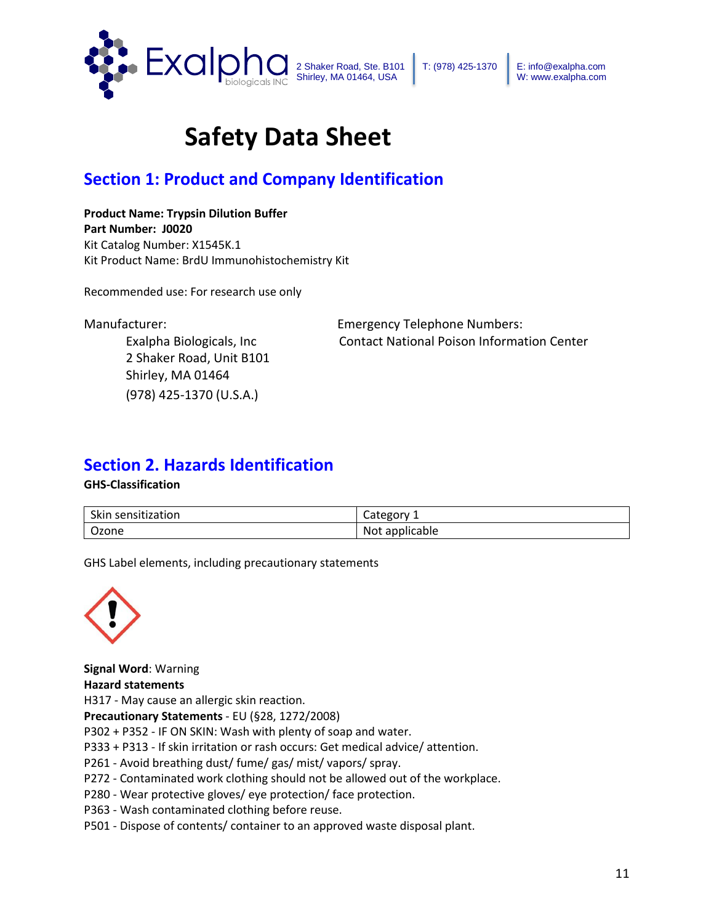

# **Safety Data Sheet**

# **Section 1: Product and Company Identification**

**Product Name: Trypsin Dilution Buffer Part Number: J0020** Kit Catalog Number: X1545K.1 Kit Product Name: BrdU Immunohistochemistry Kit

Recommended use: For research use only

2 Shaker Road, Unit B101 Shirley, MA 01464 (978) 425-1370 (U.S.A.)

Manufacturer: Emergency Telephone Numbers: Exalpha Biologicals, Inc Contact National Poison Information Center

## **Section 2. Hazards Identification**

### **GHS-Classification**

| Skin sensitization | Category       |
|--------------------|----------------|
| Ozone              | Not applicable |

GHS Label elements, including precautionary statements



**Signal Word**: Warning **Hazard statements**  H317 - May cause an allergic skin reaction. **Precautionary Statements** - EU (§28, 1272/2008) P302 + P352 - IF ON SKIN: Wash with plenty of soap and water. P333 + P313 - If skin irritation or rash occurs: Get medical advice/ attention. P261 - Avoid breathing dust/ fume/ gas/ mist/ vapors/ spray. P272 - Contaminated work clothing should not be allowed out of the workplace. P280 - Wear protective gloves/ eye protection/ face protection. P363 - Wash contaminated clothing before reuse.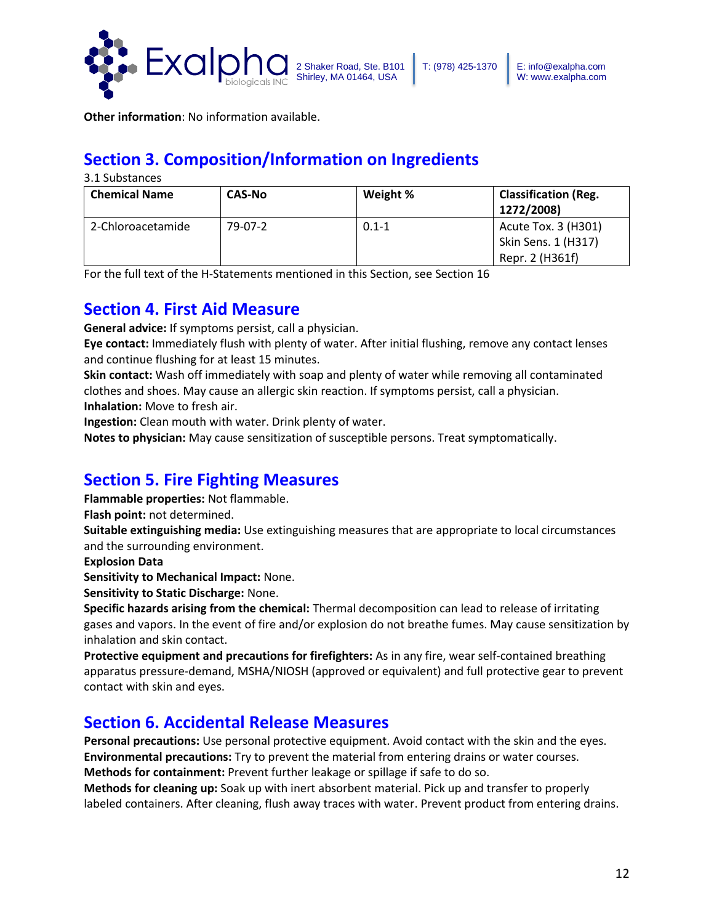

**Other information**: No information available.

# **Section 3. Composition/Information on Ingredients**

3.1 Substances

| <b>Chemical Name</b> | <b>CAS-No</b> | Weight %  | <b>Classification (Reg.</b><br>1272/2008) |
|----------------------|---------------|-----------|-------------------------------------------|
| 2-Chloroacetamide    | 79-07-2       | $0.1 - 1$ | Acute Tox. 3 (H301)                       |
|                      |               |           | Skin Sens. 1 (H317)                       |
|                      |               |           | Repr. 2 (H361f)                           |

For the full text of the H-Statements mentioned in this Section, see Section 16

## **Section 4. First Aid Measure**

**General advice:** If symptoms persist, call a physician.

**Eye contact:** Immediately flush with plenty of water. After initial flushing, remove any contact lenses and continue flushing for at least 15 minutes.

**Skin contact:** Wash off immediately with soap and plenty of water while removing all contaminated clothes and shoes. May cause an allergic skin reaction. If symptoms persist, call a physician. **Inhalation:** Move to fresh air.

**Ingestion:** Clean mouth with water. Drink plenty of water.

**Notes to physician:** May cause sensitization of susceptible persons. Treat symptomatically.

# **Section 5. Fire Fighting Measures**

**Flammable properties:** Not flammable.

**Flash point:** not determined.

**Suitable extinguishing media:** Use extinguishing measures that are appropriate to local circumstances and the surrounding environment.

**Explosion Data**

**Sensitivity to Mechanical Impact:** None.

**Sensitivity to Static Discharge:** None.

**Specific hazards arising from the chemical:** Thermal decomposition can lead to release of irritating gases and vapors. In the event of fire and/or explosion do not breathe fumes. May cause sensitization by inhalation and skin contact.

**Protective equipment and precautions for firefighters:** As in any fire, wear self-contained breathing apparatus pressure-demand, MSHA/NIOSH (approved or equivalent) and full protective gear to prevent contact with skin and eyes.

# **Section 6. Accidental Release Measures**

**Personal precautions:** Use personal protective equipment. Avoid contact with the skin and the eyes. **Environmental precautions:** Try to prevent the material from entering drains or water courses. **Methods for containment:** Prevent further leakage or spillage if safe to do so.

**Methods for cleaning up:** Soak up with inert absorbent material. Pick up and transfer to properly labeled containers. After cleaning, flush away traces with water. Prevent product from entering drains.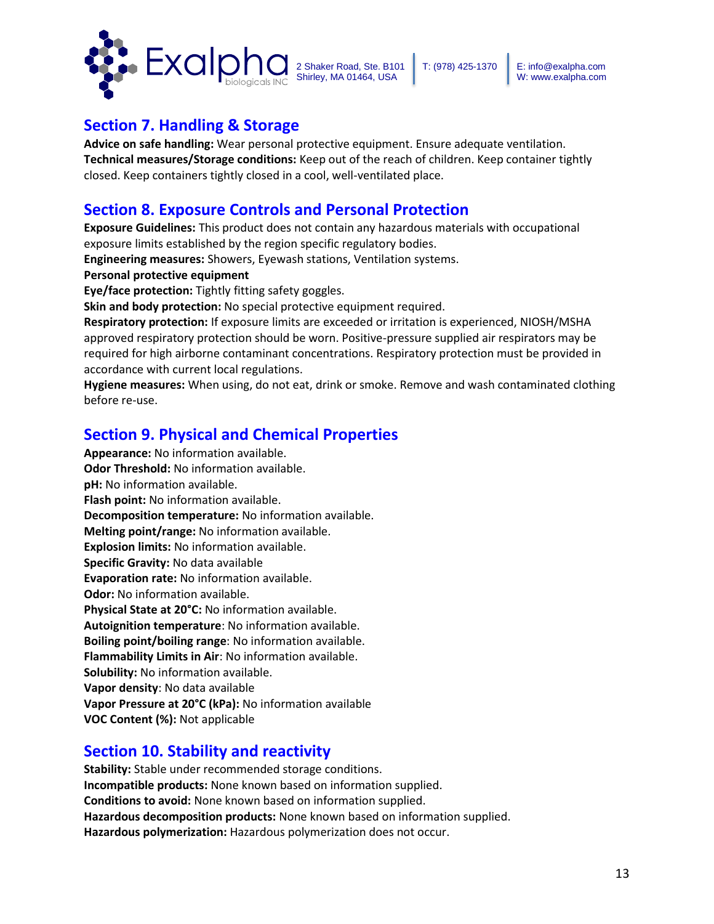

## **Section 7. Handling & Storage**

**Advice on safe handling:** Wear personal protective equipment. Ensure adequate ventilation. **Technical measures/Storage conditions:** Keep out of the reach of children. Keep container tightly closed. Keep containers tightly closed in a cool, well-ventilated place.

## **Section 8. Exposure Controls and Personal Protection**

**Exposure Guidelines:** This product does not contain any hazardous materials with occupational exposure limits established by the region specific regulatory bodies.

**Engineering measures:** Showers, Eyewash stations, Ventilation systems.

**Personal protective equipment** 

**Eye/face protection:** Tightly fitting safety goggles.

**Skin and body protection:** No special protective equipment required.

**Respiratory protection:** If exposure limits are exceeded or irritation is experienced, NIOSH/MSHA approved respiratory protection should be worn. Positive-pressure supplied air respirators may be required for high airborne contaminant concentrations. Respiratory protection must be provided in accordance with current local regulations.

**Hygiene measures:** When using, do not eat, drink or smoke. Remove and wash contaminated clothing before re-use.

## **Section 9. Physical and Chemical Properties**

**Appearance:** No information available. **Odor Threshold:** No information available. **pH:** No information available. **Flash point:** No information available. **Decomposition temperature:** No information available. **Melting point/range:** No information available. **Explosion limits:** No information available. **Specific Gravity:** No data available **Evaporation rate:** No information available. **Odor:** No information available. **Physical State at 20°C:** No information available. **Autoignition temperature**: No information available. **Boiling point/boiling range**: No information available. **Flammability Limits in Air**: No information available. **Solubility:** No information available. **Vapor density**: No data available **Vapor Pressure at 20°C (kPa):** No information available **VOC Content (%):** Not applicable

## **Section 10. Stability and reactivity**

**Stability:** Stable under recommended storage conditions. **Incompatible products:** None known based on information supplied. **Conditions to avoid:** None known based on information supplied. **Hazardous decomposition products:** None known based on information supplied. **Hazardous polymerization:** Hazardous polymerization does not occur.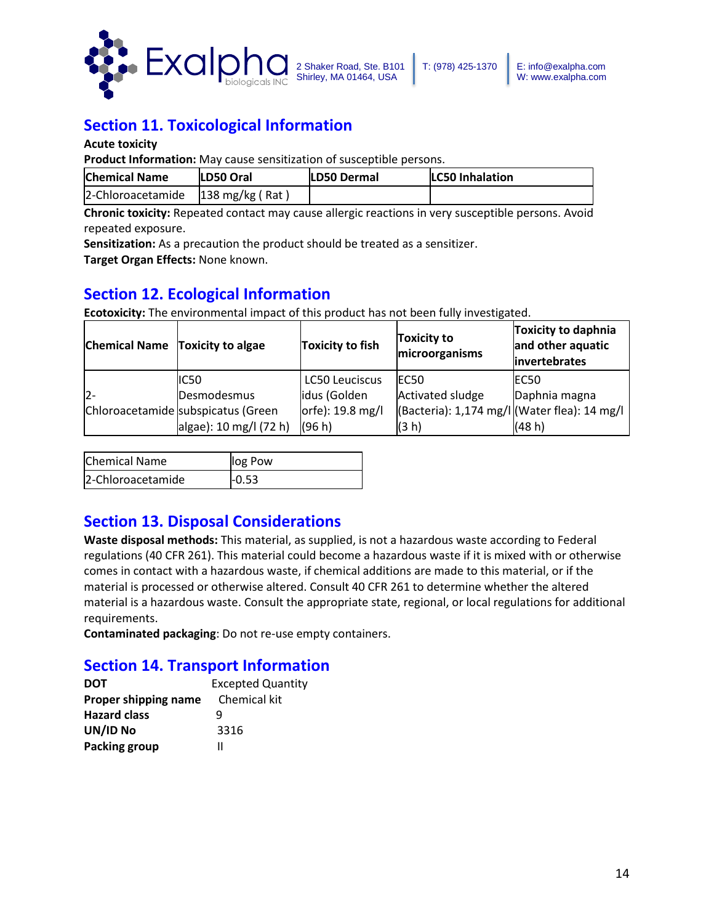

# **Section 11. Toxicological Information**

**Acute toxicity**

**Product Information:** May cause sensitization of susceptible persons.

| <b>Chemical Name</b>                             | <b>LD50 Oral</b> | <b>LD50 Dermal</b> | <b>LC50 Inhalation</b> |
|--------------------------------------------------|------------------|--------------------|------------------------|
| $ 2$ -Chloroacetamide $ 138 \text{ mg/kg}$ (Rat) |                  |                    |                        |

**Chronic toxicity:** Repeated contact may cause allergic reactions in very susceptible persons. Avoid repeated exposure.

**Sensitization:** As a precaution the product should be treated as a sensitizer.

**Target Organ Effects:** None known.

## **Section 12. Ecological Information**

**Ecotoxicity:** The environmental impact of this product has not been fully investigated.

| <b>Chemical Name Toxicity to algae</b> |                                    | <b>Toxicity to fish</b> | <b>Toxicity to</b><br>microorganisms         | <b>Toxicity to daphnia</b><br>and other aquatic<br>invertebrates |
|----------------------------------------|------------------------------------|-------------------------|----------------------------------------------|------------------------------------------------------------------|
|                                        | IC50                               | <b>LC50 Leuciscus</b>   | EC <sub>50</sub>                             | EC50                                                             |
| $12-$                                  | Desmodesmus                        | idus (Golden            | Activated sludge                             | Daphnia magna                                                    |
|                                        | Chloroacetamide subspicatus (Green | orfe): 19.8 mg/l        | (Bacteria): 1,174 mg/l (Water flea): 14 mg/l |                                                                  |
|                                        | algae): 10 mg/l (72 h)             | (96 h)                  | (3 h)                                        | (48 h)                                                           |

| <b>Chemical Name</b> | log Pow |
|----------------------|---------|
| 2-Chloroacetamide    | -0.53   |

## **Section 13. Disposal Considerations**

**Waste disposal methods:** This material, as supplied, is not a hazardous waste according to Federal regulations (40 CFR 261). This material could become a hazardous waste if it is mixed with or otherwise comes in contact with a hazardous waste, if chemical additions are made to this material, or if the material is processed or otherwise altered. Consult 40 CFR 261 to determine whether the altered material is a hazardous waste. Consult the appropriate state, regional, or local regulations for additional requirements.

**Contaminated packaging**: Do not re-use empty containers.

# **Section 14. Transport Information**

| <b>DOT</b>           | <b>Excepted Quantity</b> |
|----------------------|--------------------------|
| Proper shipping name | Chemical kit             |
| <b>Hazard class</b>  | q                        |
| UN/ID No             | 3316                     |
| Packing group        |                          |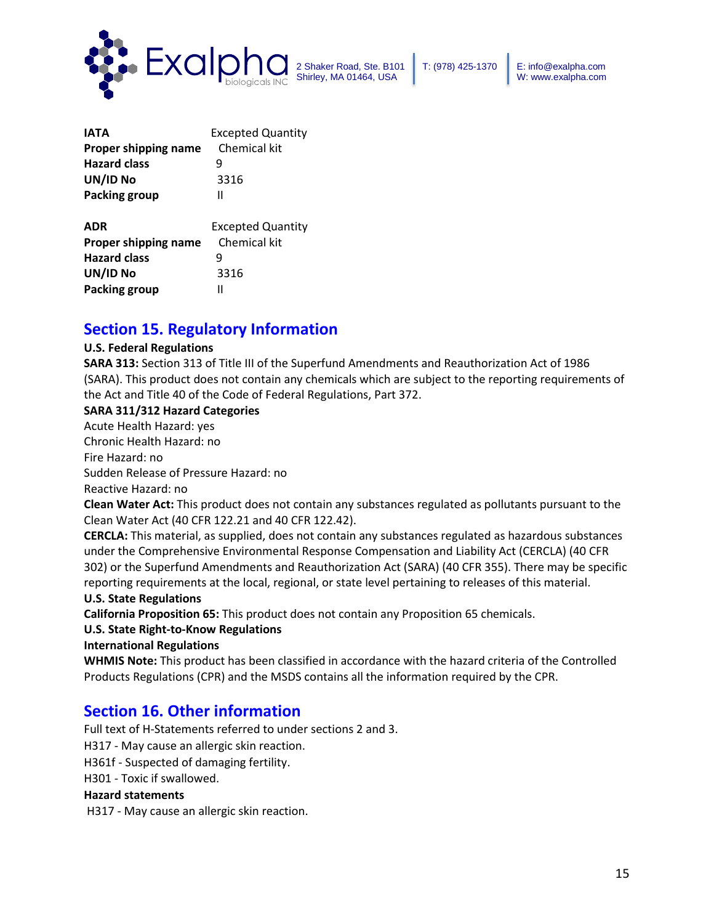

| <b>IATA</b>          | <b>Excepted Quantity</b> |  |
|----------------------|--------------------------|--|
| Proper shipping name | Chemical kit             |  |
| <b>Hazard class</b>  |                          |  |
| UN/ID No             | 3316                     |  |
| Packing group        | Ш                        |  |
| ADR                  | <b>Excepted Quantity</b> |  |

| AVN                  | Excepted Qualitic |
|----------------------|-------------------|
| Proper shipping name | Chemical kit      |
| <b>Hazard class</b>  | q                 |
| UN/ID No             | 3316              |
| Packing group        | Ш                 |

## **Section 15. Regulatory Information**

### **U.S. Federal Regulations**

**SARA 313:** Section 313 of Title III of the Superfund Amendments and Reauthorization Act of 1986 (SARA). This product does not contain any chemicals which are subject to the reporting requirements of the Act and Title 40 of the Code of Federal Regulations, Part 372.

### **SARA 311/312 Hazard Categories**

Acute Health Hazard: yes Chronic Health Hazard: no Fire Hazard: no Sudden Release of Pressure Hazard: no Reactive Hazard: no

**Clean Water Act:** This product does not contain any substances regulated as pollutants pursuant to the Clean Water Act (40 CFR 122.21 and 40 CFR 122.42).

**CERCLA:** This material, as supplied, does not contain any substances regulated as hazardous substances under the Comprehensive Environmental Response Compensation and Liability Act (CERCLA) (40 CFR 302) or the Superfund Amendments and Reauthorization Act (SARA) (40 CFR 355). There may be specific reporting requirements at the local, regional, or state level pertaining to releases of this material.

### **U.S. State Regulations**

**California Proposition 65:** This product does not contain any Proposition 65 chemicals.

### **U.S. State Right-to-Know Regulations**

**International Regulations** 

**WHMIS Note:** This product has been classified in accordance with the hazard criteria of the Controlled Products Regulations (CPR) and the MSDS contains all the information required by the CPR.

## **Section 16. Other information**

Full text of H-Statements referred to under sections 2 and 3. H317 - May cause an allergic skin reaction.

H361f - Suspected of damaging fertility.

H301 - Toxic if swallowed.

### **Hazard statements**

H317 - May cause an allergic skin reaction.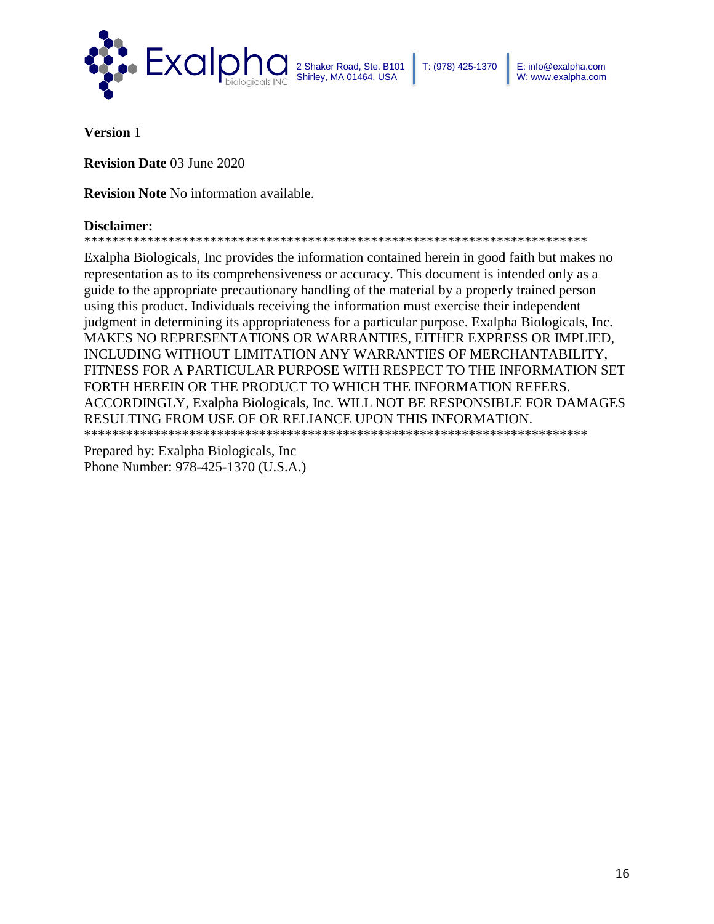

**Version** 1

**Revision Date** 03 June 2020

**Revision Note** No information available.

### **Disclaimer:**

\*\*\*\*\*\*\*\*\*\*\*\*\*\*\*\*\*\*\*\*\*\*\*\*\*\*\*\*\*\*\*\*\*\*\*\*\*\*\*\*\*\*\*\*\*\*\*\*\*\*\*\*\*\*\*\*\*\*\*\*\*\*\*\*\*\*\*\*\*\*\*\*

Exalpha Biologicals, Inc provides the information contained herein in good faith but makes no representation as to its comprehensiveness or accuracy. This document is intended only as a guide to the appropriate precautionary handling of the material by a properly trained person using this product. Individuals receiving the information must exercise their independent judgment in determining its appropriateness for a particular purpose. Exalpha Biologicals, Inc. MAKES NO REPRESENTATIONS OR WARRANTIES, EITHER EXPRESS OR IMPLIED, INCLUDING WITHOUT LIMITATION ANY WARRANTIES OF MERCHANTABILITY, FITNESS FOR A PARTICULAR PURPOSE WITH RESPECT TO THE INFORMATION SET FORTH HEREIN OR THE PRODUCT TO WHICH THE INFORMATION REFERS. ACCORDINGLY, Exalpha Biologicals, Inc. WILL NOT BE RESPONSIBLE FOR DAMAGES RESULTING FROM USE OF OR RELIANCE UPON THIS INFORMATION. \*\*\*\*\*\*\*\*\*\*\*\*\*\*\*\*\*\*\*\*\*\*\*\*\*\*\*\*\*\*\*\*\*\*\*\*\*\*\*\*\*\*\*\*\*\*\*\*\*\*\*\*\*\*\*\*\*\*\*\*\*\*\*\*\*\*\*\*\*\*\*\*

Prepared by: Exalpha Biologicals, Inc Phone Number: 978-425-1370 (U.S.A.)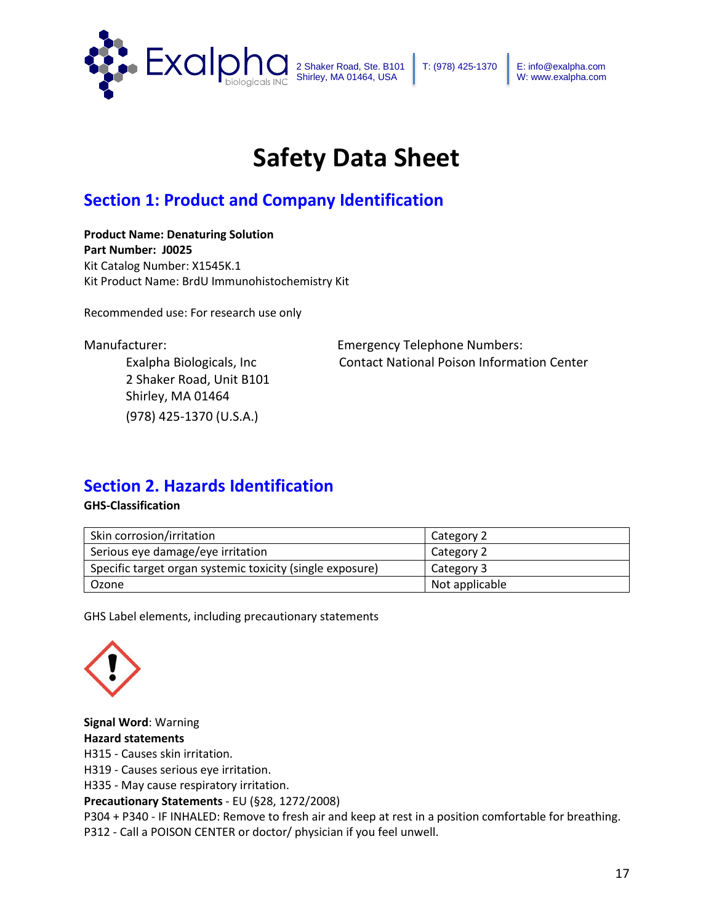

# **Safety Data Sheet**

# **Section 1: Product and Company Identification**

**Product Name: Denaturing Solution Part Number: J0025** Kit Catalog Number: X1545K.1 Kit Product Name: BrdU Immunohistochemistry Kit

Recommended use: For research use only

2 Shaker Road, Unit B101 Shirley, MA 01464 (978) 425-1370 (U.S.A.)

Manufacturer: Emergency Telephone Numbers: Exalpha Biologicals, Inc Contact National Poison Information Center

## **Section 2. Hazards Identification**

### **GHS-Classification**

| Skin corrosion/irritation                                 | Category 2     |
|-----------------------------------------------------------|----------------|
| Serious eye damage/eye irritation                         | Category 2     |
| Specific target organ systemic toxicity (single exposure) | Category 3     |
| Ozone                                                     | Not applicable |

GHS Label elements, including precautionary statements



**Signal Word**: Warning **Hazard statements**  H315 - Causes skin irritation. H319 - Causes serious eye irritation. H335 - May cause respiratory irritation. **Precautionary Statements** - EU (§28, 1272/2008)

P304 + P340 - IF INHALED: Remove to fresh air and keep at rest in a position comfortable for breathing.

P312 - Call a POISON CENTER or doctor/ physician if you feel unwell.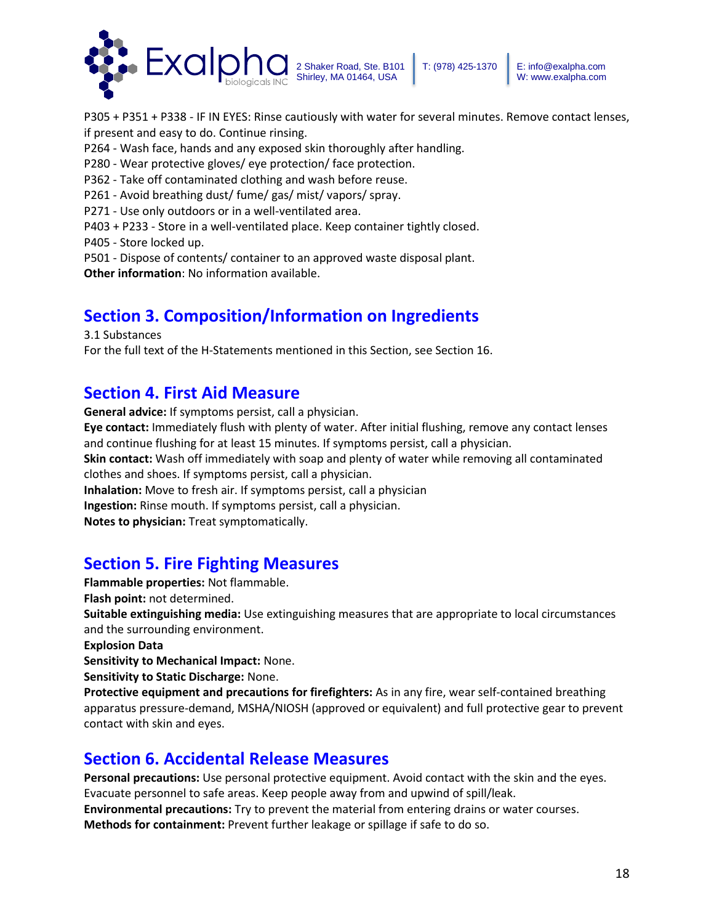

P305 + P351 + P338 - IF IN EYES: Rinse cautiously with water for several minutes. Remove contact lenses, if present and easy to do. Continue rinsing.

P264 - Wash face, hands and any exposed skin thoroughly after handling.

- P280 Wear protective gloves/ eye protection/ face protection.
- P362 Take off contaminated clothing and wash before reuse.
- P261 Avoid breathing dust/ fume/ gas/ mist/ vapors/ spray.
- P271 Use only outdoors or in a well-ventilated area.
- P403 + P233 Store in a well-ventilated place. Keep container tightly closed.
- P405 Store locked up.
- P501 Dispose of contents/ container to an approved waste disposal plant.

**Other information**: No information available.

# **Section 3. Composition/Information on Ingredients**

3.1 Substances

For the full text of the H-Statements mentioned in this Section, see Section 16.

## **Section 4. First Aid Measure**

**General advice:** If symptoms persist, call a physician. **Eye contact:** Immediately flush with plenty of water. After initial flushing, remove any contact lenses and continue flushing for at least 15 minutes. If symptoms persist, call a physician.

**Skin contact:** Wash off immediately with soap and plenty of water while removing all contaminated clothes and shoes. If symptoms persist, call a physician.

**Inhalation:** Move to fresh air. If symptoms persist, call a physician

**Ingestion:** Rinse mouth. If symptoms persist, call a physician.

**Notes to physician:** Treat symptomatically.

# **Section 5. Fire Fighting Measures**

**Flammable properties:** Not flammable. **Flash point:** not determined. **Suitable extinguishing media:** Use extinguishing measures that are appropriate to local circumstances and the surrounding environment.

**Explosion Data**

**Sensitivity to Mechanical Impact:** None.

**Sensitivity to Static Discharge:** None.

**Protective equipment and precautions for firefighters:** As in any fire, wear self-contained breathing apparatus pressure-demand, MSHA/NIOSH (approved or equivalent) and full protective gear to prevent contact with skin and eyes.

# **Section 6. Accidental Release Measures**

**Personal precautions:** Use personal protective equipment. Avoid contact with the skin and the eyes. Evacuate personnel to safe areas. Keep people away from and upwind of spill/leak. **Environmental precautions:** Try to prevent the material from entering drains or water courses. **Methods for containment:** Prevent further leakage or spillage if safe to do so.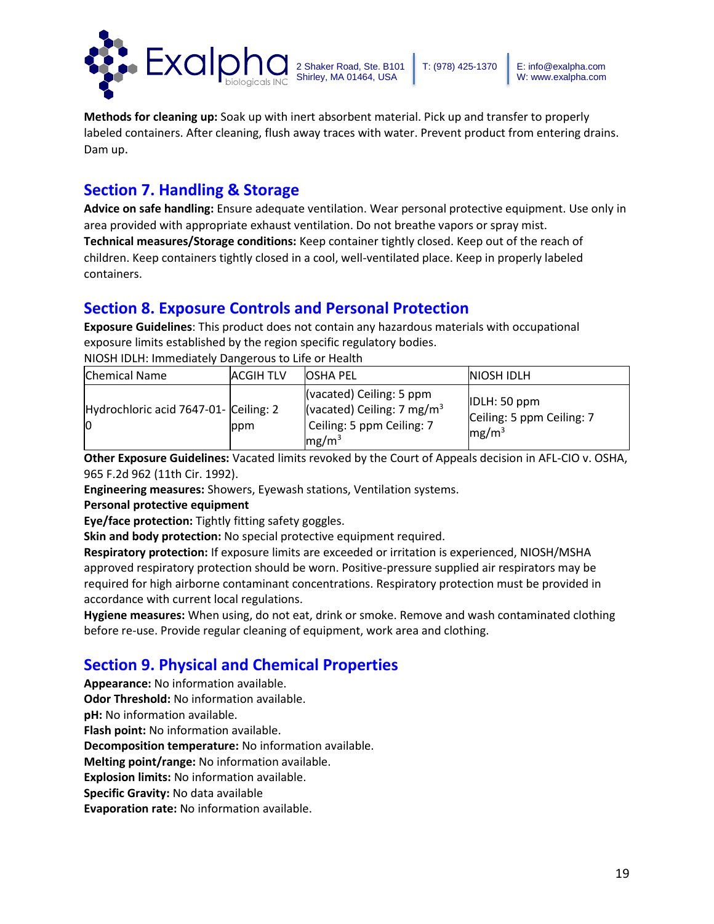

**Methods for cleaning up:** Soak up with inert absorbent material. Pick up and transfer to properly labeled containers. After cleaning, flush away traces with water. Prevent product from entering drains. Dam up.

## **Section 7. Handling & Storage**

**Advice on safe handling:** Ensure adequate ventilation. Wear personal protective equipment. Use only in area provided with appropriate exhaust ventilation. Do not breathe vapors or spray mist. **Technical measures/Storage conditions:** Keep container tightly closed. Keep out of the reach of children. Keep containers tightly closed in a cool, well-ventilated place. Keep in properly labeled containers.

## **Section 8. Exposure Controls and Personal Protection**

**Exposure Guidelines**: This product does not contain any hazardous materials with occupational exposure limits established by the region specific regulatory bodies. NIOSH IDLH: Immediately Dangerous to Life or Health

| <b>Chemical Name</b>                       | <b>ACGIHTLV</b> | <b>OSHA PEL</b>                                                                                                              | <b>INIOSH IDLH</b>                                             |
|--------------------------------------------|-----------------|------------------------------------------------------------------------------------------------------------------------------|----------------------------------------------------------------|
| Hydrochloric acid 7647-01- Ceiling: 2<br>Ю | ppm             | $\vert$ (vacated) Ceiling: 5 ppm<br>(vacated) Ceiling: 7 mg/m <sup>3</sup><br>Ceiling: 5 ppm Ceiling: 7<br>mg/m <sup>3</sup> | IDLH: 50 ppm<br>Ceiling: 5 ppm Ceiling: 7<br>mg/m <sup>3</sup> |

**Other Exposure Guidelines:** Vacated limits revoked by the Court of Appeals decision in AFL-CIO v. OSHA, 965 F.2d 962 (11th Cir. 1992).

**Engineering measures:** Showers, Eyewash stations, Ventilation systems.

### **Personal protective equipment**

**Eye/face protection:** Tightly fitting safety goggles.

**Skin and body protection:** No special protective equipment required.

**Respiratory protection:** If exposure limits are exceeded or irritation is experienced, NIOSH/MSHA approved respiratory protection should be worn. Positive-pressure supplied air respirators may be required for high airborne contaminant concentrations. Respiratory protection must be provided in accordance with current local regulations.

**Hygiene measures:** When using, do not eat, drink or smoke. Remove and wash contaminated clothing before re-use. Provide regular cleaning of equipment, work area and clothing.

# **Section 9. Physical and Chemical Properties**

**Appearance:** No information available. **Odor Threshold:** No information available.

**pH:** No information available.

**Flash point:** No information available.

**Decomposition temperature:** No information available.

**Melting point/range:** No information available.

**Explosion limits:** No information available.

**Specific Gravity:** No data available

**Evaporation rate:** No information available.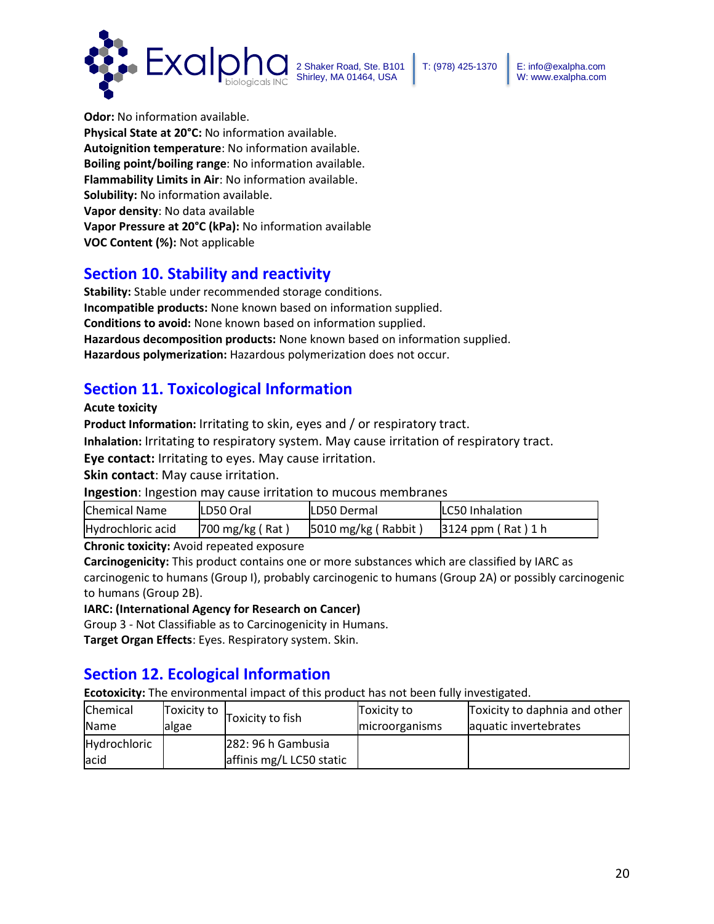



**Odor:** No information available. **Physical State at 20°C:** No information available. **Autoignition temperature**: No information available. **Boiling point/boiling range**: No information available. **Flammability Limits in Air**: No information available. **Solubility:** No information available. **Vapor density**: No data available **Vapor Pressure at 20°C (kPa):** No information available **VOC Content (%):** Not applicable

## **Section 10. Stability and reactivity**

**Stability:** Stable under recommended storage conditions. **Incompatible products:** None known based on information supplied. **Conditions to avoid:** None known based on information supplied. **Hazardous decomposition products:** None known based on information supplied. **Hazardous polymerization:** Hazardous polymerization does not occur.

## **Section 11. Toxicological Information**

**Acute toxicity**

**Product Information:** Irritating to skin, eyes and / or respiratory tract.

**Inhalation:** Irritating to respiratory system. May cause irritation of respiratory tract.

**Eye contact:** Irritating to eyes. May cause irritation.

**Skin contact**: May cause irritation.

**Ingestion**: Ingestion may cause irritation to mucous membranes

| Chemical Name     | LD50 Oral                    | <b>LD50 Dermal</b>             | <b>ILC50 Inhalation</b> |
|-------------------|------------------------------|--------------------------------|-------------------------|
| Hydrochloric acid | $700 \,\mathrm{mg/kg}$ (Rat) | $ 5010 \text{ mg/kg}$ (Rabbit) | $3124$ ppm (Rat) 1 h    |

**Chronic toxicity:** Avoid repeated exposure

**Carcinogenicity:** This product contains one or more substances which are classified by IARC as carcinogenic to humans (Group I), probably carcinogenic to humans (Group 2A) or possibly carcinogenic to humans (Group 2B).

**IARC: (International Agency for Research on Cancer)** 

Group 3 - Not Classifiable as to Carcinogenicity in Humans.

**Target Organ Effects**: Eyes. Respiratory system. Skin.

## **Section 12. Ecological Information**

**Ecotoxicity:** The environmental impact of this product has not been fully investigated.

| Chemical                     | Toxicity to | Toxicity to fish                               | Toxicity to    | Toxicity to daphnia and other |
|------------------------------|-------------|------------------------------------------------|----------------|-------------------------------|
| <b>Name</b>                  | lalgae      |                                                | microorganisms | aquatic invertebrates         |
| <b>Hydrochloric</b><br>lacid |             | 282: 96 h Gambusia<br>affinis mg/L LC50 static |                |                               |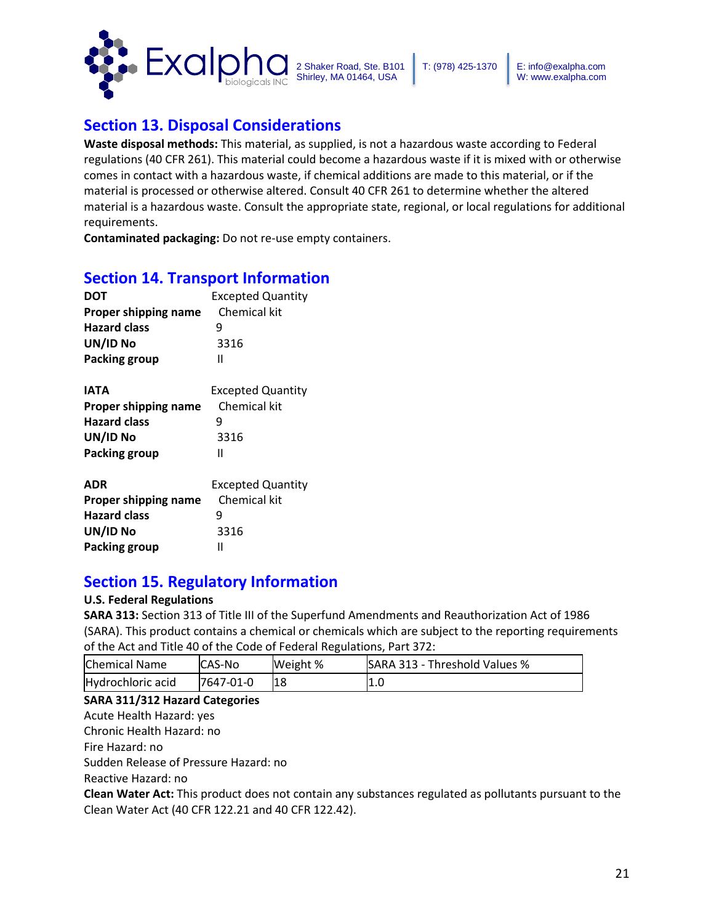

# **Section 13. Disposal Considerations**

**Waste disposal methods:** This material, as supplied, is not a hazardous waste according to Federal regulations (40 CFR 261). This material could become a hazardous waste if it is mixed with or otherwise comes in contact with a hazardous waste, if chemical additions are made to this material, or if the material is processed or otherwise altered. Consult 40 CFR 261 to determine whether the altered material is a hazardous waste. Consult the appropriate state, regional, or local regulations for additional requirements.

**Contaminated packaging:** Do not re-use empty containers.

## **Section 14. Transport Information**

| <b>DOT</b>           | <b>Excepted Quantity</b> |  |  |
|----------------------|--------------------------|--|--|
| Proper shipping name | Chemical kit             |  |  |
| <b>Hazard class</b>  | q                        |  |  |
| UN/ID No             | 3316                     |  |  |
| Packing group        | Ш                        |  |  |

| <b>IATA</b>          | <b>Excepted Quantity</b> |  |  |
|----------------------|--------------------------|--|--|
| Proper shipping name | Chemical kit             |  |  |
| <b>Hazard class</b>  |                          |  |  |
| UN/ID No             | 3316                     |  |  |
| Packing group        | н                        |  |  |
|                      |                          |  |  |
|                      |                          |  |  |

| <b>ADR</b>           | <b>Excepted Quantity</b> |
|----------------------|--------------------------|
| Proper shipping name | Chemical kit             |
| <b>Hazard class</b>  | q                        |
| UN/ID No             | 3316                     |
| Packing group        | н                        |

## **Section 15. Regulatory Information**

### **U.S. Federal Regulations**

**SARA 313:** Section 313 of Title III of the Superfund Amendments and Reauthorization Act of 1986 (SARA). This product contains a chemical or chemicals which are subject to the reporting requirements of the Act and Title 40 of the Code of Federal Regulations, Part 372:

| Chemical Name     | <b>ICAS-No</b> | Weight % | SARA 313 - Threshold Values % |
|-------------------|----------------|----------|-------------------------------|
| Hydrochloric acid | 7647-01-0      | 18       | 1.0                           |

### **SARA 311/312 Hazard Categories**

Acute Health Hazard: yes

Chronic Health Hazard: no

Fire Hazard: no

Sudden Release of Pressure Hazard: no

Reactive Hazard: no

**Clean Water Act:** This product does not contain any substances regulated as pollutants pursuant to the Clean Water Act (40 CFR 122.21 and 40 CFR 122.42).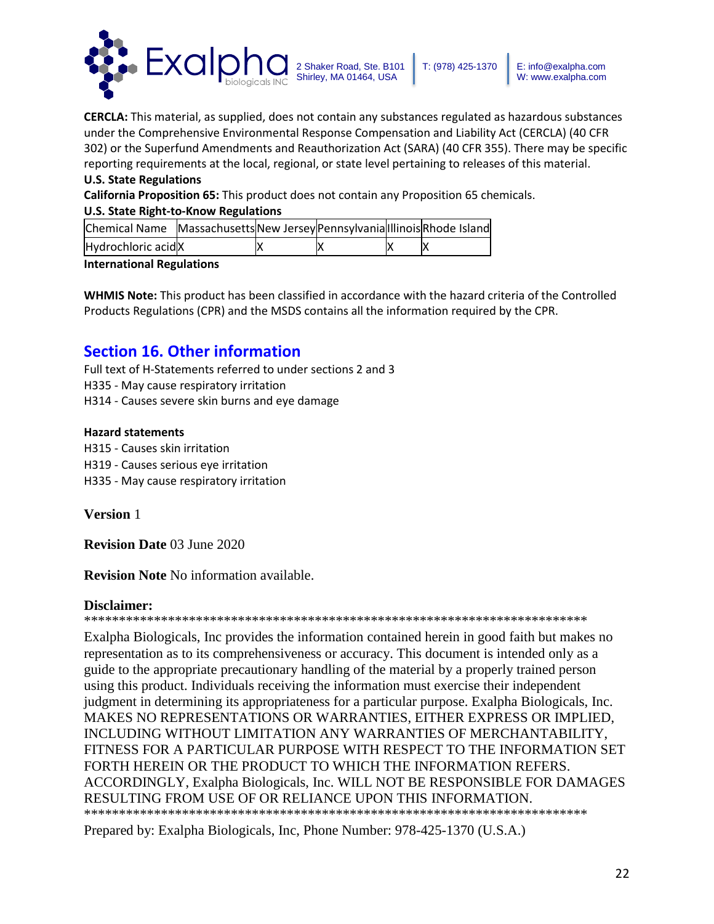

W: www.exalpha.com

**CERCLA:** This material, as supplied, does not contain any substances regulated as hazardous substances under the Comprehensive Environmental Response Compensation and Liability Act (CERCLA) (40 CFR 302) or the Superfund Amendments and Reauthorization Act (SARA) (40 CFR 355). There may be specific reporting requirements at the local, regional, or state level pertaining to releases of this material.

### **U.S. State Regulations**

**California Proposition 65:** This product does not contain any Proposition 65 chemicals.

### **U.S. State Right-to-Know Regulations**

| Chemical Name Massachusetts New Jersey Pennsylvania Illinois Rhode Island |  |  |  |
|---------------------------------------------------------------------------|--|--|--|
| Hydrochloric acidX                                                        |  |  |  |

### **International Regulations**

**WHMIS Note:** This product has been classified in accordance with the hazard criteria of the Controlled Products Regulations (CPR) and the MSDS contains all the information required by the CPR.

## **Section 16. Other information**

Full text of H-Statements referred to under sections 2 and 3 H335 - May cause respiratory irritation H314 - Causes severe skin burns and eye damage

### **Hazard statements**

H315 - Causes skin irritation

H319 - Causes serious eye irritation

H335 - May cause respiratory irritation

**Version** 1

**Revision Date** 03 June 2020

**Revision Note** No information available.

### **Disclaimer:**

\*\*\*\*\*\*\*\*\*\*\*\*\*\*\*\*\*\*\*\*\*\*\*\*\*\*\*\*\*\*\*\*\*\*\*\*\*\*\*\*\*\*\*\*\*\*\*\*\*\*\*\*\*\*\*\*\*\*\*\*\*\*\*\*\*\*\*\*\*\*\*\*

Exalpha Biologicals, Inc provides the information contained herein in good faith but makes no representation as to its comprehensiveness or accuracy. This document is intended only as a guide to the appropriate precautionary handling of the material by a properly trained person using this product. Individuals receiving the information must exercise their independent judgment in determining its appropriateness for a particular purpose. Exalpha Biologicals, Inc. MAKES NO REPRESENTATIONS OR WARRANTIES, EITHER EXPRESS OR IMPLIED, INCLUDING WITHOUT LIMITATION ANY WARRANTIES OF MERCHANTABILITY, FITNESS FOR A PARTICULAR PURPOSE WITH RESPECT TO THE INFORMATION SET FORTH HEREIN OR THE PRODUCT TO WHICH THE INFORMATION REFERS. ACCORDINGLY, Exalpha Biologicals, Inc. WILL NOT BE RESPONSIBLE FOR DAMAGES RESULTING FROM USE OF OR RELIANCE UPON THIS INFORMATION. \*\*\*\*\*\*\*\*\*\*\*\*\*\*\*\*\*\*\*\*\*\*\*\*\*\*\*\*\*\*\*\*\*\*\*\*\*\*\*\*\*\*\*\*\*\*\*\*\*\*\*\*\*\*\*\*\*\*\*\*\*\*\*\*\*\*\*\*\*\*\*\*

Prepared by: Exalpha Biologicals, Inc, Phone Number: 978-425-1370 (U.S.A.)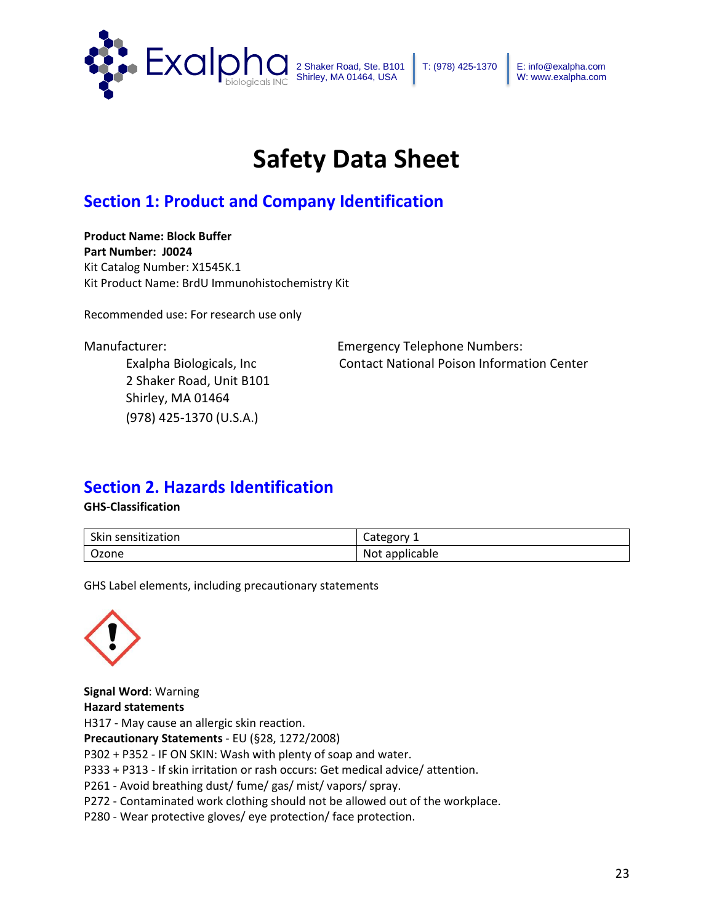

# **Safety Data Sheet**

# **Section 1: Product and Company Identification**

**Product Name: Block Buffer Part Number: J0024** Kit Catalog Number: X1545K.1 Kit Product Name: BrdU Immunohistochemistry Kit

Recommended use: For research use only

2 Shaker Road, Unit B101 Shirley, MA 01464 (978) 425-1370 (U.S.A.)

Manufacturer: Emergency Telephone Numbers: Exalpha Biologicals, Inc Contact National Poison Information Center

## **Section 2. Hazards Identification**

**GHS-Classification**

| Skin sensitization | ategory<br>calce |
|--------------------|------------------|
| Ozone              | Not applicable   |

GHS Label elements, including precautionary statements



**Signal Word**: Warning **Hazard statements**  H317 - May cause an allergic skin reaction. **Precautionary Statements** - EU (§28, 1272/2008) P302 + P352 - IF ON SKIN: Wash with plenty of soap and water. P333 + P313 - If skin irritation or rash occurs: Get medical advice/ attention. P261 - Avoid breathing dust/ fume/ gas/ mist/ vapors/ spray. P272 - Contaminated work clothing should not be allowed out of the workplace. P280 - Wear protective gloves/ eye protection/ face protection.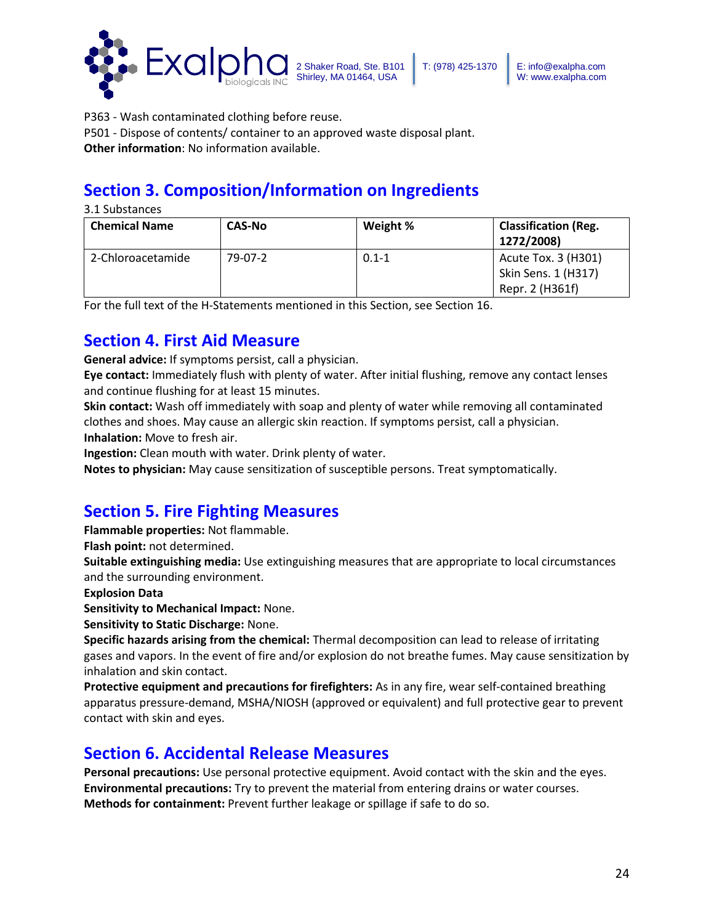

P363 - Wash contaminated clothing before reuse.

P501 - Dispose of contents/ container to an approved waste disposal plant.

**Other information**: No information available.

# **Section 3. Composition/Information on Ingredients**

3.1 Substances

| <b>Chemical Name</b> | <b>CAS-No</b> | Weight %  | <b>Classification (Reg.</b><br>1272/2008) |
|----------------------|---------------|-----------|-------------------------------------------|
| 2-Chloroacetamide    | 79-07-2       | $0.1 - 1$ | Acute Tox. 3 (H301)                       |
|                      |               |           | Skin Sens. 1 (H317)                       |
|                      |               |           | Repr. 2 (H361f)                           |

For the full text of the H-Statements mentioned in this Section, see Section 16.

# **Section 4. First Aid Measure**

**General advice:** If symptoms persist, call a physician.

**Eye contact:** Immediately flush with plenty of water. After initial flushing, remove any contact lenses and continue flushing for at least 15 minutes.

**Skin contact:** Wash off immediately with soap and plenty of water while removing all contaminated clothes and shoes. May cause an allergic skin reaction. If symptoms persist, call a physician. **Inhalation:** Move to fresh air.

**Ingestion:** Clean mouth with water. Drink plenty of water.

**Notes to physician:** May cause sensitization of susceptible persons. Treat symptomatically.

# **Section 5. Fire Fighting Measures**

**Flammable properties:** Not flammable.

**Flash point:** not determined.

**Suitable extinguishing media:** Use extinguishing measures that are appropriate to local circumstances and the surrounding environment.

**Explosion Data**

**Sensitivity to Mechanical Impact:** None.

**Sensitivity to Static Discharge:** None.

**Specific hazards arising from the chemical:** Thermal decomposition can lead to release of irritating gases and vapors. In the event of fire and/or explosion do not breathe fumes. May cause sensitization by inhalation and skin contact.

**Protective equipment and precautions for firefighters:** As in any fire, wear self-contained breathing apparatus pressure-demand, MSHA/NIOSH (approved or equivalent) and full protective gear to prevent contact with skin and eyes.

## **Section 6. Accidental Release Measures**

**Personal precautions:** Use personal protective equipment. Avoid contact with the skin and the eyes. **Environmental precautions:** Try to prevent the material from entering drains or water courses. **Methods for containment:** Prevent further leakage or spillage if safe to do so.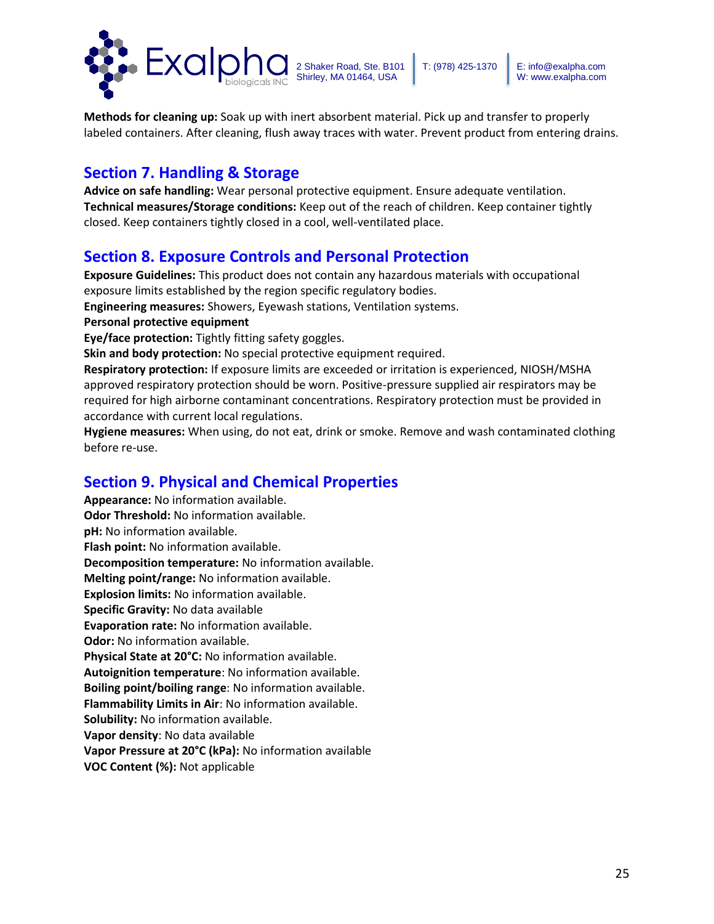

**Methods for cleaning up:** Soak up with inert absorbent material. Pick up and transfer to properly labeled containers. After cleaning, flush away traces with water. Prevent product from entering drains.

## **Section 7. Handling & Storage**

**Advice on safe handling:** Wear personal protective equipment. Ensure adequate ventilation. **Technical measures/Storage conditions:** Keep out of the reach of children. Keep container tightly closed. Keep containers tightly closed in a cool, well-ventilated place.

## **Section 8. Exposure Controls and Personal Protection**

**Exposure Guidelines:** This product does not contain any hazardous materials with occupational exposure limits established by the region specific regulatory bodies.

**Engineering measures:** Showers, Eyewash stations, Ventilation systems.

**Personal protective equipment** 

**Eye/face protection:** Tightly fitting safety goggles.

**Skin and body protection:** No special protective equipment required.

**Respiratory protection:** If exposure limits are exceeded or irritation is experienced, NIOSH/MSHA approved respiratory protection should be worn. Positive-pressure supplied air respirators may be required for high airborne contaminant concentrations. Respiratory protection must be provided in accordance with current local regulations.

**Hygiene measures:** When using, do not eat, drink or smoke. Remove and wash contaminated clothing before re-use.

## **Section 9. Physical and Chemical Properties**

**Appearance:** No information available. **Odor Threshold:** No information available. **pH:** No information available. **Flash point:** No information available. **Decomposition temperature:** No information available. **Melting point/range:** No information available. **Explosion limits:** No information available. **Specific Gravity:** No data available **Evaporation rate:** No information available. **Odor:** No information available. **Physical State at 20°C:** No information available. **Autoignition temperature**: No information available. **Boiling point/boiling range**: No information available. **Flammability Limits in Air**: No information available. **Solubility:** No information available. **Vapor density**: No data available **Vapor Pressure at 20°C (kPa):** No information available **VOC Content (%):** Not applicable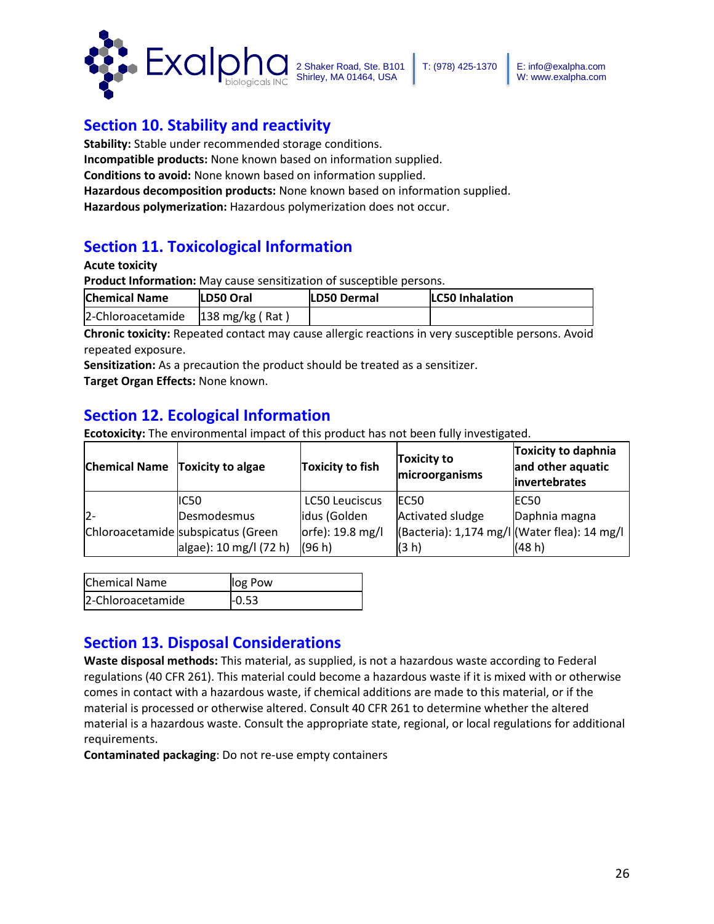

## **Section 10. Stability and reactivity**

**Stability:** Stable under recommended storage conditions.

**Incompatible products:** None known based on information supplied.

**Conditions to avoid:** None known based on information supplied.

**Hazardous decomposition products:** None known based on information supplied.

**Hazardous polymerization:** Hazardous polymerization does not occur.

## **Section 11. Toxicological Information**

### **Acute toxicity**

**Product Information:** May cause sensitization of susceptible persons.

| <b>Chemical Name</b>                             | LD50 Oral | LD50 Dermal | <b>LC50 Inhalation</b> |
|--------------------------------------------------|-----------|-------------|------------------------|
| $ 2$ -Chloroacetamide $ 138 \text{ mg/kg}$ (Rat) |           |             |                        |

**Chronic toxicity:** Repeated contact may cause allergic reactions in very susceptible persons. Avoid repeated exposure.

**Sensitization:** As a precaution the product should be treated as a sensitizer.

**Target Organ Effects:** None known.

## **Section 12. Ecological Information**

**Ecotoxicity:** The environmental impact of this product has not been fully investigated.

| Chemical Name Toxicity to algae |                                    | <b>Toxicity to fish</b> | <b>Toxicity to</b><br>microorganisms         | <b>Toxicity to daphnia</b><br>and other aquatic<br>invertebrates |
|---------------------------------|------------------------------------|-------------------------|----------------------------------------------|------------------------------------------------------------------|
|                                 | IC50                               | <b>LC50 Leuciscus</b>   | IEC <sub>50</sub>                            | IEC50                                                            |
| $2 -$                           | Desmodesmus                        | idus (Golden            | Activated sludge                             | Daphnia magna                                                    |
|                                 | Chloroacetamide subspicatus (Green | orfe): 19.8 mg/l        | (Bacteria): 1,174 mg/l (Water flea): 14 mg/l |                                                                  |
|                                 | algae): 10 mg/l (72 h)             | (96 h)                  | (3 h)                                        | (48 h)                                                           |

| <b>Chemical Name</b> | log Pow |
|----------------------|---------|
| 2-Chloroacetamide    | $-0.53$ |

## **Section 13. Disposal Considerations**

**Waste disposal methods:** This material, as supplied, is not a hazardous waste according to Federal regulations (40 CFR 261). This material could become a hazardous waste if it is mixed with or otherwise comes in contact with a hazardous waste, if chemical additions are made to this material, or if the material is processed or otherwise altered. Consult 40 CFR 261 to determine whether the altered material is a hazardous waste. Consult the appropriate state, regional, or local regulations for additional requirements.

**Contaminated packaging**: Do not re-use empty containers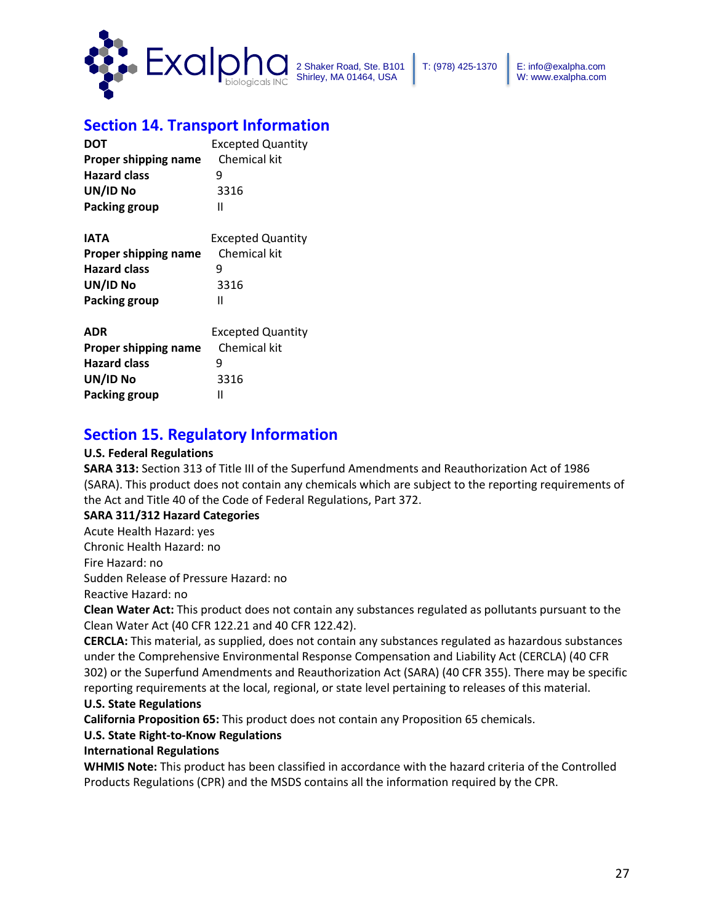

## **Section 14. Transport Information**

| DOT                  | <b>Excepted Quantity</b> |
|----------------------|--------------------------|
| Proper shipping name | Chemical kit             |
| <b>Hazard class</b>  | 9                        |
| UN/ID No             | 3316                     |
| <b>Packing group</b> | Ш                        |
| IATA                 | <b>Excepted Quantity</b> |
| Proper shipping name | Chemical kit             |
| <b>Hazard class</b>  | 9                        |
| UN/ID No             | 3316                     |
| <b>Packing group</b> | Ш                        |
| <b>ADR</b>           | <b>Excepted Quantity</b> |
| Proper shipping name | Chemical kit             |
| <b>Hazard class</b>  | 9                        |
| UN/ID No             | 3316                     |
| <b>Packing group</b> | Ш                        |

## **Section 15. Regulatory Information**

### **U.S. Federal Regulations**

**SARA 313:** Section 313 of Title III of the Superfund Amendments and Reauthorization Act of 1986 (SARA). This product does not contain any chemicals which are subject to the reporting requirements of the Act and Title 40 of the Code of Federal Regulations, Part 372.

### **SARA 311/312 Hazard Categories**

Acute Health Hazard: yes

Chronic Health Hazard: no

Fire Hazard: no

Sudden Release of Pressure Hazard: no

Reactive Hazard: no

**Clean Water Act:** This product does not contain any substances regulated as pollutants pursuant to the Clean Water Act (40 CFR 122.21 and 40 CFR 122.42).

**CERCLA:** This material, as supplied, does not contain any substances regulated as hazardous substances under the Comprehensive Environmental Response Compensation and Liability Act (CERCLA) (40 CFR 302) or the Superfund Amendments and Reauthorization Act (SARA) (40 CFR 355). There may be specific reporting requirements at the local, regional, or state level pertaining to releases of this material.

### **U.S. State Regulations**

**California Proposition 65:** This product does not contain any Proposition 65 chemicals.

### **U.S. State Right-to-Know Regulations**

### **International Regulations**

**WHMIS Note:** This product has been classified in accordance with the hazard criteria of the Controlled Products Regulations (CPR) and the MSDS contains all the information required by the CPR.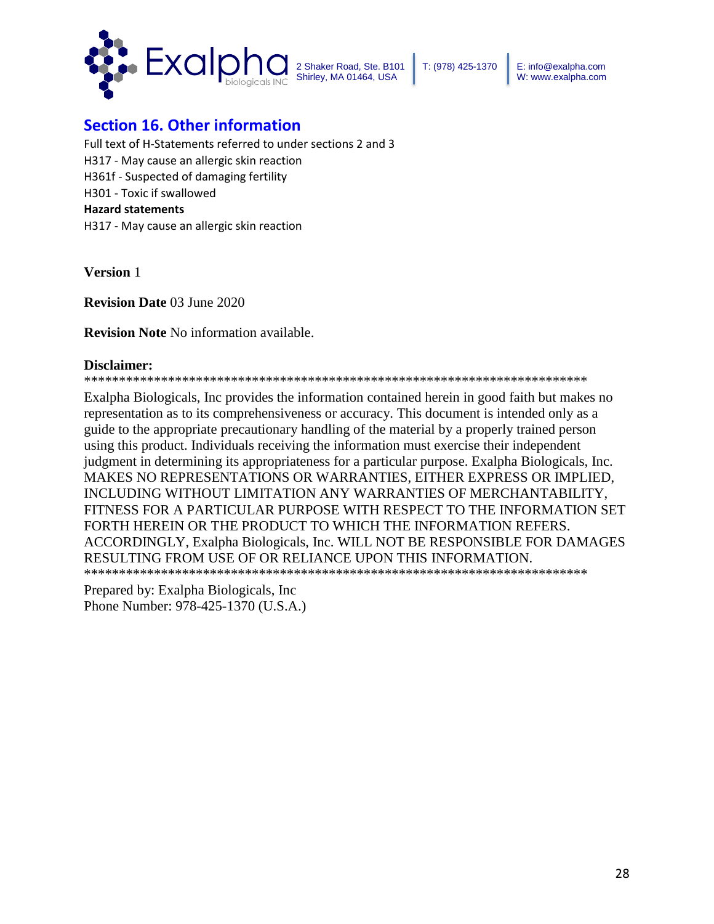

## **Section 16. Other information**

Full text of H-Statements referred to under sections 2 and 3 H317 - May cause an allergic skin reaction H361f - Suspected of damaging fertility H301 - Toxic if swallowed **Hazard statements** H317 - May cause an allergic skin reaction

**Version** 1

**Revision Date** 03 June 2020

**Revision Note** No information available.

#### **Disclaimer:**

\*\*\*\*\*\*\*\*\*\*\*\*\*\*\*\*\*\*\*\*\*\*\*\*\*\*\*\*\*\*\*\*\*\*\*\*\*\*\*\*\*\*\*\*\*\*\*\*\*\*\*\*\*\*\*\*\*\*\*\*\*\*\*\*\*\*\*\*\*\*\*\*

Exalpha Biologicals, Inc provides the information contained herein in good faith but makes no representation as to its comprehensiveness or accuracy. This document is intended only as a guide to the appropriate precautionary handling of the material by a properly trained person using this product. Individuals receiving the information must exercise their independent judgment in determining its appropriateness for a particular purpose. Exalpha Biologicals, Inc. MAKES NO REPRESENTATIONS OR WARRANTIES, EITHER EXPRESS OR IMPLIED, INCLUDING WITHOUT LIMITATION ANY WARRANTIES OF MERCHANTABILITY, FITNESS FOR A PARTICULAR PURPOSE WITH RESPECT TO THE INFORMATION SET FORTH HEREIN OR THE PRODUCT TO WHICH THE INFORMATION REFERS. ACCORDINGLY, Exalpha Biologicals, Inc. WILL NOT BE RESPONSIBLE FOR DAMAGES RESULTING FROM USE OF OR RELIANCE UPON THIS INFORMATION. \*\*\*\*\*\*\*\*\*\*\*\*\*\*\*\*\*\*\*\*\*\*\*\*\*\*\*\*\*\*\*\*\*\*\*\*\*\*\*\*\*\*\*\*\*\*\*\*\*\*\*\*\*\*\*\*\*\*\*\*\*\*\*\*\*\*\*\*\*\*\*\*

Prepared by: Exalpha Biologicals, Inc Phone Number: 978-425-1370 (U.S.A.)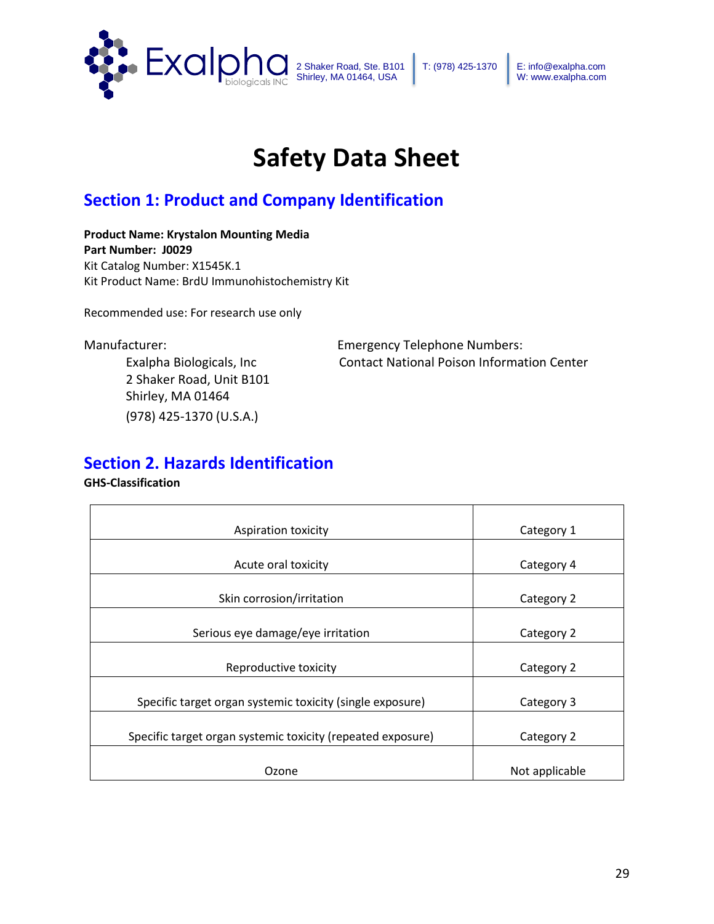

E: info@exalpha.com W: www.exalpha.com

# **Safety Data Sheet**

# **Section 1: Product and Company Identification**

**Product Name: Krystalon Mounting Media Part Number: J0029** Kit Catalog Number: X1545K.1 Kit Product Name: BrdU Immunohistochemistry Kit

Recommended use: For research use only

2 Shaker Road, Unit B101 Shirley, MA 01464 (978) 425-1370 (U.S.A.)

Manufacturer: Emergency Telephone Numbers: Exalpha Biologicals, Inc Contact National Poison Information Center

## **Section 2. Hazards Identification**

### **GHS-Classification**

| <b>Aspiration toxicity</b>                                  | Category 1     |
|-------------------------------------------------------------|----------------|
|                                                             |                |
| Acute oral toxicity                                         | Category 4     |
|                                                             |                |
| Skin corrosion/irritation                                   | Category 2     |
|                                                             |                |
| Serious eye damage/eye irritation                           | Category 2     |
|                                                             |                |
| Reproductive toxicity                                       | Category 2     |
|                                                             |                |
| Specific target organ systemic toxicity (single exposure)   | Category 3     |
|                                                             |                |
| Specific target organ systemic toxicity (repeated exposure) | Category 2     |
|                                                             |                |
| Ozone                                                       | Not applicable |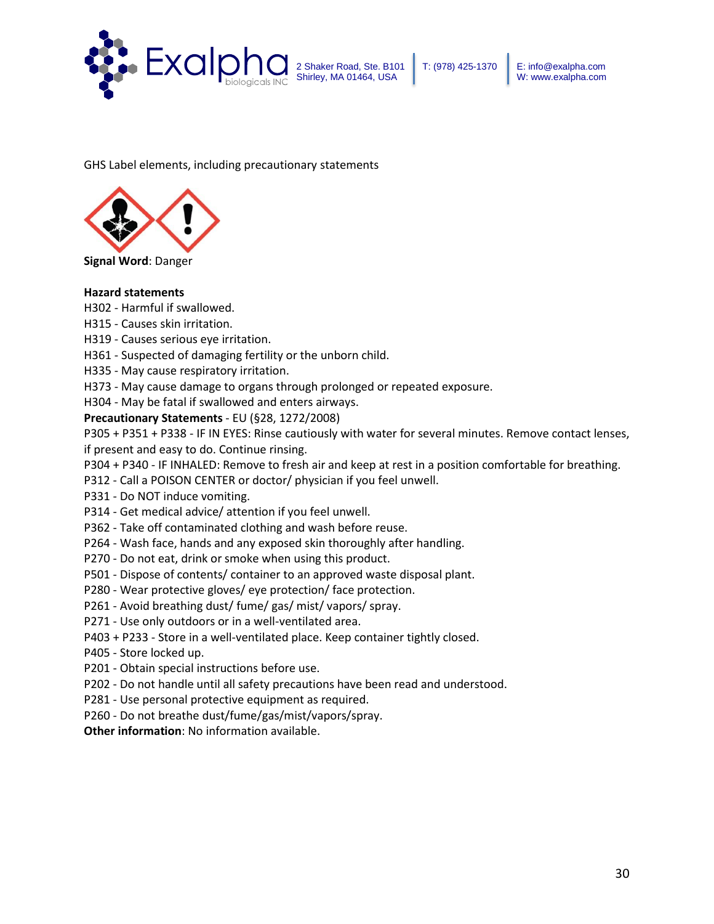

GHS Label elements, including precautionary statements



**Signal Word**: Danger

#### **Hazard statements**

- H302 Harmful if swallowed.
- H315 Causes skin irritation.
- H319 Causes serious eye irritation.
- H361 Suspected of damaging fertility or the unborn child.
- H335 May cause respiratory irritation.
- H373 May cause damage to organs through prolonged or repeated exposure.
- H304 May be fatal if swallowed and enters airways.

#### **Precautionary Statements** - EU (§28, 1272/2008)

P305 + P351 + P338 - IF IN EYES: Rinse cautiously with water for several minutes. Remove contact lenses, if present and easy to do. Continue rinsing.

- P304 + P340 IF INHALED: Remove to fresh air and keep at rest in a position comfortable for breathing.
- P312 Call a POISON CENTER or doctor/ physician if you feel unwell.
- P331 Do NOT induce vomiting.
- P314 Get medical advice/ attention if you feel unwell.
- P362 Take off contaminated clothing and wash before reuse.
- P264 Wash face, hands and any exposed skin thoroughly after handling.
- P270 Do not eat, drink or smoke when using this product.
- P501 Dispose of contents/ container to an approved waste disposal plant.
- P280 Wear protective gloves/ eye protection/ face protection.
- P261 Avoid breathing dust/ fume/ gas/ mist/ vapors/ spray.
- P271 Use only outdoors or in a well-ventilated area.
- P403 + P233 Store in a well-ventilated place. Keep container tightly closed.
- P405 Store locked up.
- P201 Obtain special instructions before use.
- P202 Do not handle until all safety precautions have been read and understood.
- P281 Use personal protective equipment as required.
- P260 Do not breathe dust/fume/gas/mist/vapors/spray.

**Other information**: No information available.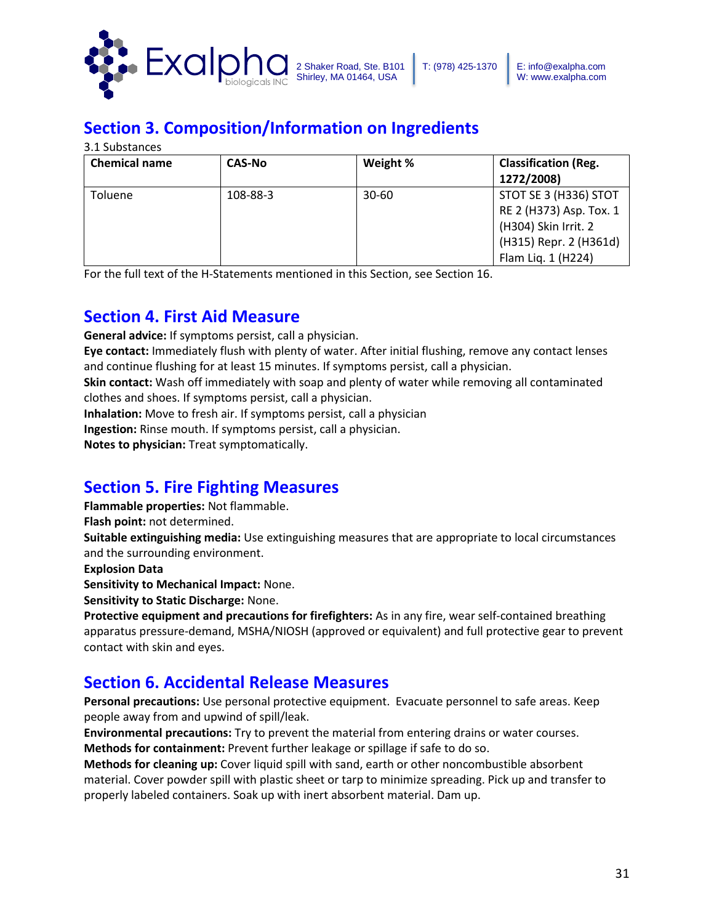

# **Section 3. Composition/Information on Ingredients**

3.1 Substances

| <b>Chemical name</b> | <b>CAS-No</b> | Weight %  | <b>Classification (Reg.</b><br>1272/2008)                                                                                |
|----------------------|---------------|-----------|--------------------------------------------------------------------------------------------------------------------------|
| <b>Toluene</b>       | 108-88-3      | $30 - 60$ | STOT SE 3 (H336) STOT<br>RE 2 (H373) Asp. Tox. 1<br>(H304) Skin Irrit. 2<br>(H315) Repr. 2 (H361d)<br>Flam Liq. 1 (H224) |

For the full text of the H-Statements mentioned in this Section, see Section 16.

## **Section 4. First Aid Measure**

**General advice:** If symptoms persist, call a physician.

**Eye contact:** Immediately flush with plenty of water. After initial flushing, remove any contact lenses and continue flushing for at least 15 minutes. If symptoms persist, call a physician.

**Skin contact:** Wash off immediately with soap and plenty of water while removing all contaminated clothes and shoes. If symptoms persist, call a physician.

**Inhalation:** Move to fresh air. If symptoms persist, call a physician

**Ingestion:** Rinse mouth. If symptoms persist, call a physician.

**Notes to physician:** Treat symptomatically.

# **Section 5. Fire Fighting Measures**

**Flammable properties:** Not flammable.

**Flash point:** not determined.

**Suitable extinguishing media:** Use extinguishing measures that are appropriate to local circumstances and the surrounding environment.

**Explosion Data**

**Sensitivity to Mechanical Impact:** None.

**Sensitivity to Static Discharge:** None.

**Protective equipment and precautions for firefighters:** As in any fire, wear self-contained breathing apparatus pressure-demand, MSHA/NIOSH (approved or equivalent) and full protective gear to prevent contact with skin and eyes.

## **Section 6. Accidental Release Measures**

**Personal precautions:** Use personal protective equipment. Evacuate personnel to safe areas. Keep people away from and upwind of spill/leak.

**Environmental precautions:** Try to prevent the material from entering drains or water courses. **Methods for containment:** Prevent further leakage or spillage if safe to do so.

**Methods for cleaning up:** Cover liquid spill with sand, earth or other noncombustible absorbent material. Cover powder spill with plastic sheet or tarp to minimize spreading. Pick up and transfer to properly labeled containers. Soak up with inert absorbent material. Dam up.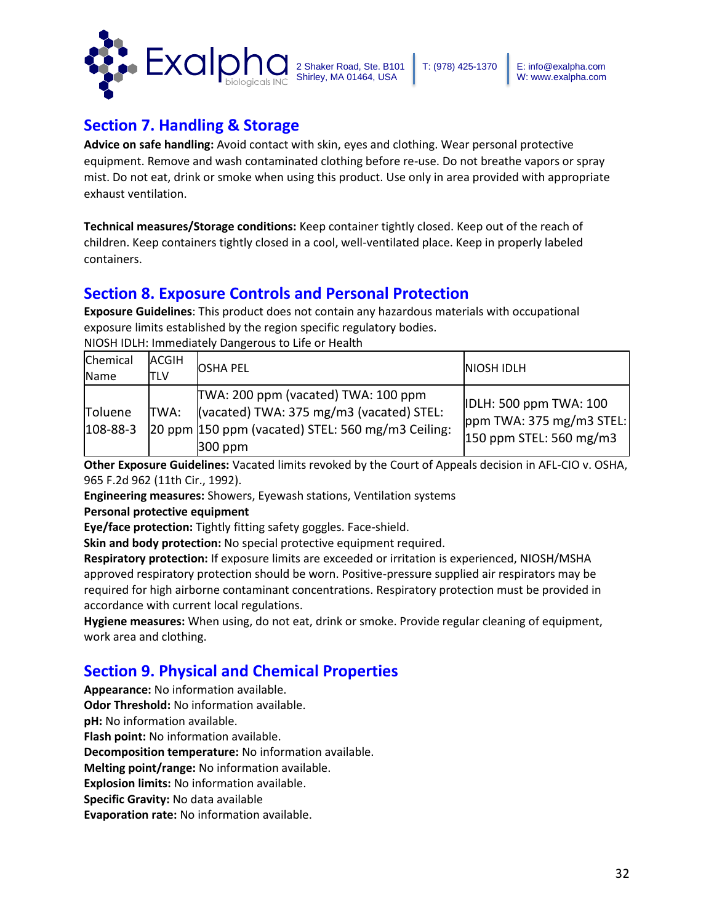

## **Section 7. Handling & Storage**

**Advice on safe handling:** Avoid contact with skin, eyes and clothing. Wear personal protective equipment. Remove and wash contaminated clothing before re-use. Do not breathe vapors or spray mist. Do not eat, drink or smoke when using this product. Use only in area provided with appropriate exhaust ventilation.

**Technical measures/Storage conditions:** Keep container tightly closed. Keep out of the reach of children. Keep containers tightly closed in a cool, well-ventilated place. Keep in properly labeled containers.

## **Section 8. Exposure Controls and Personal Protection**

**Exposure Guidelines**: This product does not contain any hazardous materials with occupational exposure limits established by the region specific regulatory bodies.

NIOSH IDLH: Immediately Dangerous to Life or Health

| Chemical<br>Name          | ACGIH<br>TLV | <b>OSHA PEL</b>                                                                                                                                   | <b>NIOSH IDLH</b>                                                                        |
|---------------------------|--------------|---------------------------------------------------------------------------------------------------------------------------------------------------|------------------------------------------------------------------------------------------|
| Toluene<br>$108 - 88 - 3$ | ITWA:        | TWA: 200 ppm (vacated) TWA: 100 ppm<br>(vacated) TWA: 375 mg/m3 (vacated) STEL:<br>20 ppm 150 ppm (vacated) STEL: 560 mg/m3 Ceiling:<br>$300$ ppm | <b>IDLH: 500 ppm TWA: 100</b><br>$ppm$ TWA: 375 mg/m3 STEL:<br>$150$ ppm STEL: 560 mg/m3 |

**Other Exposure Guidelines:** Vacated limits revoked by the Court of Appeals decision in AFL-CIO v. OSHA, 965 F.2d 962 (11th Cir., 1992).

**Engineering measures:** Showers, Eyewash stations, Ventilation systems

### **Personal protective equipment**

**Eye/face protection:** Tightly fitting safety goggles. Face-shield.

**Skin and body protection:** No special protective equipment required.

**Respiratory protection:** If exposure limits are exceeded or irritation is experienced, NIOSH/MSHA approved respiratory protection should be worn. Positive-pressure supplied air respirators may be required for high airborne contaminant concentrations. Respiratory protection must be provided in accordance with current local regulations.

**Hygiene measures:** When using, do not eat, drink or smoke. Provide regular cleaning of equipment, work area and clothing.

## **Section 9. Physical and Chemical Properties**

**Appearance:** No information available.

**Odor Threshold:** No information available.

**pH:** No information available.

**Flash point:** No information available.

**Decomposition temperature:** No information available.

**Melting point/range:** No information available.

**Explosion limits:** No information available.

**Specific Gravity:** No data available

**Evaporation rate:** No information available.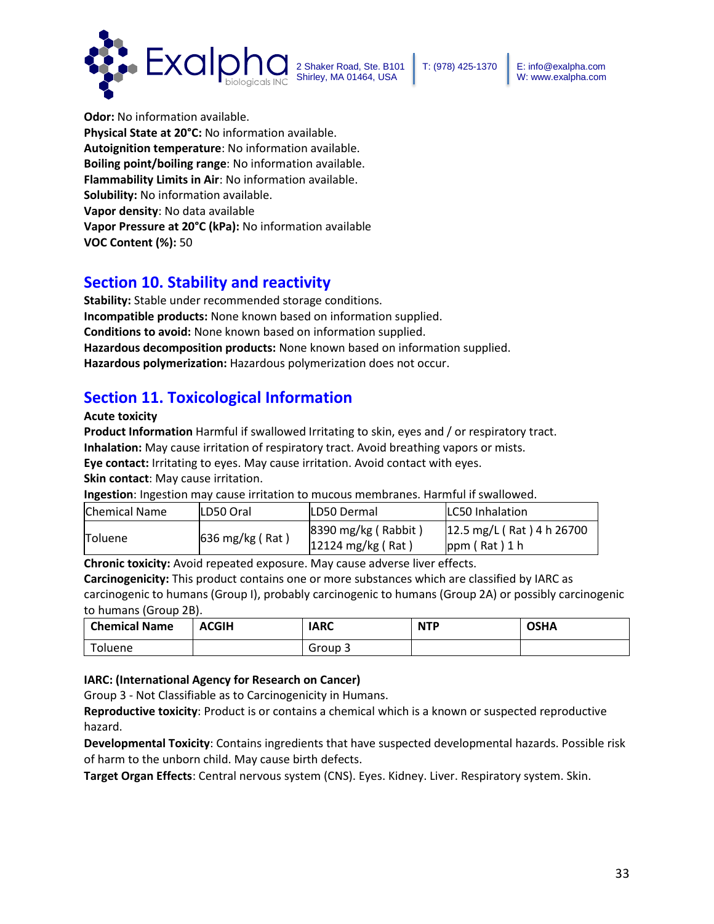



**Odor:** No information available. **Physical State at 20°C:** No information available. **Autoignition temperature**: No information available. **Boiling point/boiling range**: No information available. **Flammability Limits in Air**: No information available. **Solubility:** No information available. **Vapor density**: No data available **Vapor Pressure at 20°C (kPa):** No information available **VOC Content (%):** 50

## **Section 10. Stability and reactivity**

**Stability:** Stable under recommended storage conditions. **Incompatible products:** None known based on information supplied. **Conditions to avoid:** None known based on information supplied. **Hazardous decomposition products:** None known based on information supplied. **Hazardous polymerization:** Hazardous polymerization does not occur.

# **Section 11. Toxicological Information**

**Acute toxicity**

**Product Information** Harmful if swallowed Irritating to skin, eyes and / or respiratory tract.

**Inhalation:** May cause irritation of respiratory tract. Avoid breathing vapors or mists.

**Eye contact:** Irritating to eyes. May cause irritation. Avoid contact with eyes.

**Skin contact**: May cause irritation.

**Ingestion**: Ingestion may cause irritation to mucous membranes. Harmful if swallowed.

| <b>Chemical Name</b> | <b>ILD50 Oral</b>         | <b>ILD50 Dermal</b>                                           | <b>ILC50 Inhalation</b>                      |
|----------------------|---------------------------|---------------------------------------------------------------|----------------------------------------------|
| <b>Toluene</b>       | $636 \text{ mg/kg}$ (Rat) | $ 8390 \text{ mg/kg}$ (Rabbit)<br>$12124 \text{ mg/kg}$ (Rat) | 12.5 mg/L (Rat) 4 h 26700<br>$ppm$ (Rat) 1 h |

**Chronic toxicity:** Avoid repeated exposure. May cause adverse liver effects.

**Carcinogenicity:** This product contains one or more substances which are classified by IARC as carcinogenic to humans (Group I), probably carcinogenic to humans (Group 2A) or possibly carcinogenic to humans (Group 2B).

| <b>Chemical Name</b> | <b>ACGIH</b> | <b>IARC</b> | <b>NTP</b> | <b>OSHA</b> |
|----------------------|--------------|-------------|------------|-------------|
| Toluene              |              | Group 3     |            |             |

### **IARC: (International Agency for Research on Cancer)**

Group 3 - Not Classifiable as to Carcinogenicity in Humans.

**Reproductive toxicity**: Product is or contains a chemical which is a known or suspected reproductive hazard.

**Developmental Toxicity**: Contains ingredients that have suspected developmental hazards. Possible risk of harm to the unborn child. May cause birth defects.

**Target Organ Effects**: Central nervous system (CNS). Eyes. Kidney. Liver. Respiratory system. Skin.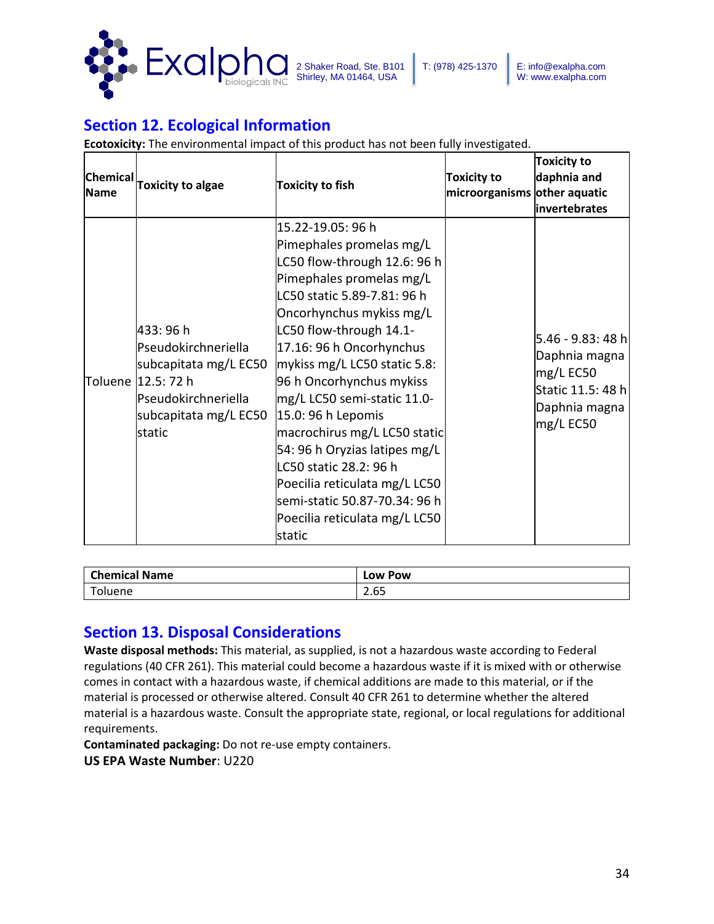

# **Section 12. Ecological Information**

**Ecotoxicity:** The environmental impact of this product has not been fully investigated.

| Chemical<br>Name | <b>Toxicity to algae</b>                                                                                                                  | <b>Toxicity to fish</b>                                                                                                                                                                                                                                                                                                                                                                                                                                                                                                                              | <b>Toxicity to</b><br>microorganisms other aquatic | <b>Toxicity to</b><br>daphnia and<br>linvertebrates                                                |
|------------------|-------------------------------------------------------------------------------------------------------------------------------------------|------------------------------------------------------------------------------------------------------------------------------------------------------------------------------------------------------------------------------------------------------------------------------------------------------------------------------------------------------------------------------------------------------------------------------------------------------------------------------------------------------------------------------------------------------|----------------------------------------------------|----------------------------------------------------------------------------------------------------|
|                  | 433:96h<br>Pseudokirchneriella<br>subcapitata mg/L EC50<br>Toluene   12.5: 72 h<br>Pseudokirchneriella<br>subcapitata mg/L EC50<br>static | 15.22-19.05: 96 h<br>Pimephales promelas mg/L<br>LC50 flow-through 12.6: 96 h<br>Pimephales promelas mg/L<br>LC50 static 5.89-7.81: 96 h<br>Oncorhynchus mykiss mg/L<br>LC50 flow-through 14.1-<br>17.16: 96 h Oncorhynchus<br>mykiss mg/L LC50 static 5.8:<br>96 h Oncorhynchus mykiss<br>mg/L LC50 semi-static 11.0-<br>15.0: 96 h Lepomis<br>macrochirus mg/L LC50 static<br>54: 96 h Oryzias latipes mg/L<br>LC50 static 28.2: 96 h<br>Poecilia reticulata mg/L LC50<br>semi-static 50.87-70.34: 96 h<br>Poecilia reticulata mg/L LC50<br>static |                                                    | 5.46 - 9.83: 48 h<br>Daphnia magna<br>mg/L EC50<br>Static 11.5: 48 h<br>Daphnia magna<br>mg/L EC50 |

| <b>Chemical Name</b> | LOW POW                                           |
|----------------------|---------------------------------------------------|
| -<br>oluene          | $\sim$ $\sim$<br>$\overline{\phantom{a}}$<br>2.b5 |

## **Section 13. Disposal Considerations**

**Waste disposal methods:** This material, as supplied, is not a hazardous waste according to Federal regulations (40 CFR 261). This material could become a hazardous waste if it is mixed with or otherwise comes in contact with a hazardous waste, if chemical additions are made to this material, or if the material is processed or otherwise altered. Consult 40 CFR 261 to determine whether the altered material is a hazardous waste. Consult the appropriate state, regional, or local regulations for additional requirements.

**Contaminated packaging:** Do not re-use empty containers.

**US EPA Waste Number**: U220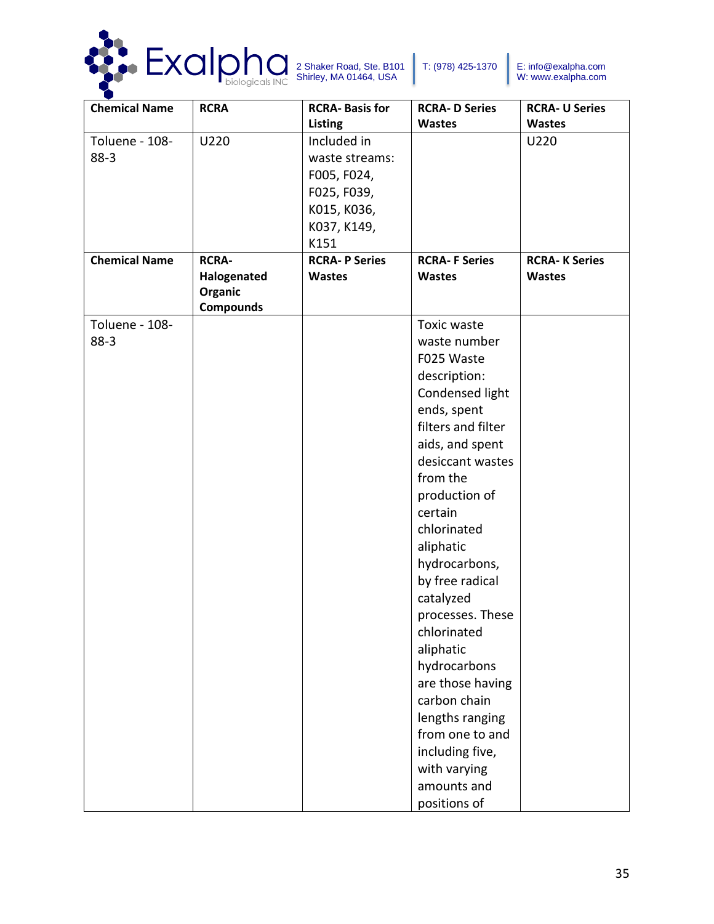

| <b>Chemical Name</b> | <b>RCRA</b>      | <b>RCRA-Basis for</b> | <b>RCRA-D Series</b> | <b>RCRA- U Series</b> |
|----------------------|------------------|-----------------------|----------------------|-----------------------|
|                      |                  | <b>Listing</b>        | <b>Wastes</b>        | <b>Wastes</b>         |
| Toluene - 108-       | U220             | Included in           |                      | U220                  |
| $88-3$               |                  | waste streams:        |                      |                       |
|                      |                  | F005, F024,           |                      |                       |
|                      |                  | F025, F039,           |                      |                       |
|                      |                  | K015, K036,           |                      |                       |
|                      |                  | K037, K149,           |                      |                       |
|                      |                  | K151                  |                      |                       |
| <b>Chemical Name</b> | <b>RCRA-</b>     | <b>RCRA-P Series</b>  | <b>RCRA-F Series</b> | <b>RCRA-K Series</b>  |
|                      | Halogenated      | <b>Wastes</b>         | <b>Wastes</b>        | <b>Wastes</b>         |
|                      | Organic          |                       |                      |                       |
|                      | <b>Compounds</b> |                       |                      |                       |
| Toluene - 108-       |                  |                       | Toxic waste          |                       |
| $88-3$               |                  |                       | waste number         |                       |
|                      |                  |                       | F025 Waste           |                       |
|                      |                  |                       | description:         |                       |
|                      |                  |                       | Condensed light      |                       |
|                      |                  |                       | ends, spent          |                       |
|                      |                  |                       | filters and filter   |                       |
|                      |                  |                       | aids, and spent      |                       |
|                      |                  |                       | desiccant wastes     |                       |
|                      |                  |                       | from the             |                       |
|                      |                  |                       | production of        |                       |
|                      |                  |                       | certain              |                       |
|                      |                  |                       | chlorinated          |                       |
|                      |                  |                       | aliphatic            |                       |
|                      |                  |                       | hydrocarbons,        |                       |
|                      |                  |                       | by free radical      |                       |
|                      |                  |                       | catalyzed            |                       |
|                      |                  |                       | processes. These     |                       |
|                      |                  |                       | chlorinated          |                       |
|                      |                  |                       | aliphatic            |                       |
|                      |                  |                       | hydrocarbons         |                       |
|                      |                  |                       | are those having     |                       |
|                      |                  |                       | carbon chain         |                       |
|                      |                  |                       | lengths ranging      |                       |
|                      |                  |                       | from one to and      |                       |
|                      |                  |                       | including five,      |                       |
|                      |                  |                       | with varying         |                       |
|                      |                  |                       | amounts and          |                       |
|                      |                  |                       | positions of         |                       |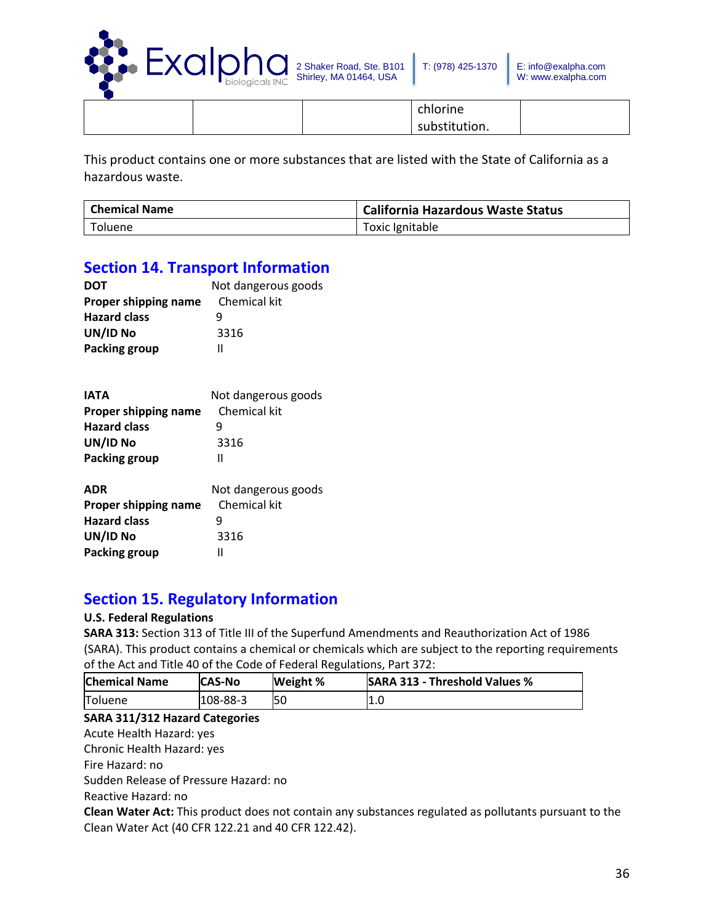

chlorine substitution.

This product contains one or more substances that are listed with the State of California as a hazardous waste.

| Chemical Name | <b>California Hazardous Waste Status</b> |
|---------------|------------------------------------------|
| Toluene       | Toxic Ignitable                          |

## **Section 14. Transport Information**

| <b>DOT</b>           | Not dangerous goods |
|----------------------|---------------------|
| Proper shipping name | Chemical kit        |
| <b>Hazard class</b>  | q                   |
| UN/ID No             | 3316                |
| <b>Packing group</b> | н                   |

| <b>IATA</b>          | Not dangerous goods |
|----------------------|---------------------|
| Proper shipping name | Chemical kit        |
| <b>Hazard class</b>  | q                   |
| UN/ID No             | 3316                |
| <b>Packing group</b> | Ш                   |
| <b>ADR</b>           | Not dangerous goods |
| Proper shipping name | Chemical kit        |
| <b>Hazard class</b>  | q                   |
| UN/ID No             | 3316                |
| Packing group        | Ш                   |

## **Section 15. Regulatory Information**

### **U.S. Federal Regulations**

**SARA 313:** Section 313 of Title III of the Superfund Amendments and Reauthorization Act of 1986 (SARA). This product contains a chemical or chemicals which are subject to the reporting requirements of the Act and Title 40 of the Code of Federal Regulations, Part 372:

| <b>Chemical Name</b> | <b>CAS-No</b> | Weight % | <b>SARA 313 - Threshold Values %</b> |
|----------------------|---------------|----------|--------------------------------------|
| Toluene              | 108-88-3      | 50       | 1.0                                  |

### **SARA 311/312 Hazard Categories**

Acute Health Hazard: yes

Chronic Health Hazard: yes

Fire Hazard: no

Sudden Release of Pressure Hazard: no

Reactive Hazard: no

**Clean Water Act:** This product does not contain any substances regulated as pollutants pursuant to the Clean Water Act (40 CFR 122.21 and 40 CFR 122.42).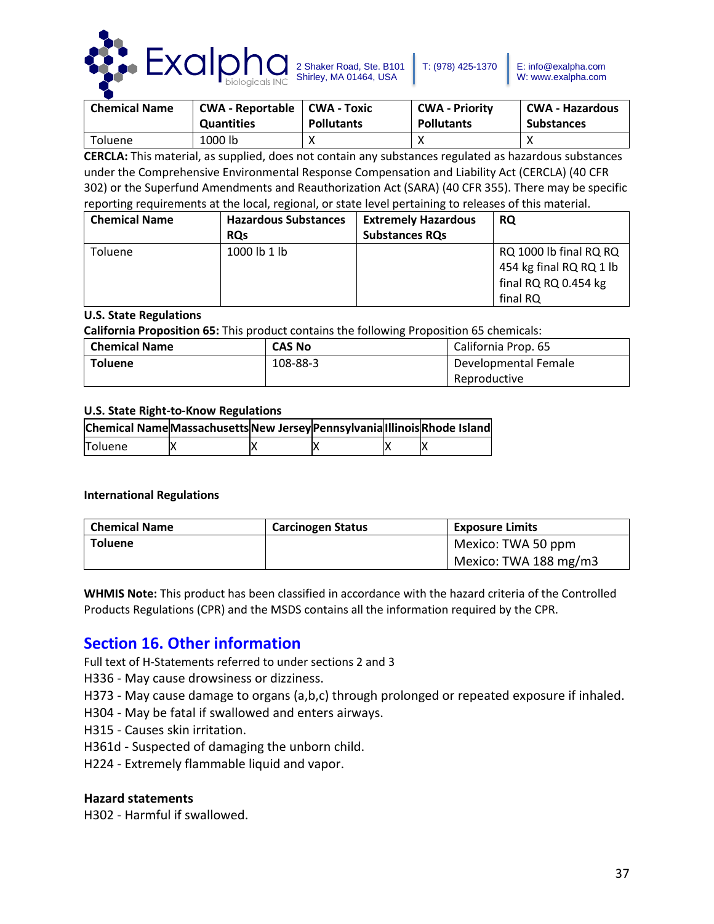

| <b>Chemical Name</b> | <b>CWA - Reportable</b> | <b>CWA - Toxic</b> | <b>CWA - Priority</b> | l CWA - Hazardous |
|----------------------|-------------------------|--------------------|-----------------------|-------------------|
|                      | <b>Quantities</b>       | <b>Pollutants</b>  | <b>Pollutants</b>     | <b>Substances</b> |
| Toluene              | 1000 lb                 |                    |                       |                   |

**CERCLA:** This material, as supplied, does not contain any substances regulated as hazardous substances under the Comprehensive Environmental Response Compensation and Liability Act (CERCLA) (40 CFR 302) or the Superfund Amendments and Reauthorization Act (SARA) (40 CFR 355). There may be specific reporting requirements at the local, regional, or state level pertaining to releases of this material.

| <b>Chemical Name</b> | <b>Hazardous Substances</b> | <b>Extremely Hazardous</b> | <b>RQ</b>               |
|----------------------|-----------------------------|----------------------------|-------------------------|
|                      | <b>ROs</b>                  | <b>Substances RQs</b>      |                         |
| Toluene              | 1000 lb 1 lb                |                            | RQ 1000 lb final RQ RQ  |
|                      |                             |                            | 454 kg final RQ RQ 1 lb |
|                      |                             |                            | final RQ RQ 0.454 kg    |
|                      |                             |                            | final RQ                |

### **U.S. State Regulations**

**California Proposition 65:** This product contains the following Proposition 65 chemicals:

| <b>Chemical Name</b> | <b>CAS No</b> | California Prop. 65  |  |
|----------------------|---------------|----------------------|--|
| <b>Toluene</b>       | 108-88-3      | Developmental Female |  |
|                      |               | Reproductive         |  |

### **U.S. State Right-to-Know Regulations**

| Chemical Name Massachusetts New Jersey Pennsylvania Illinois Rhode Island |  |  |  |
|---------------------------------------------------------------------------|--|--|--|
| <b>Toluene</b>                                                            |  |  |  |

### **International Regulations**

| <b>Chemical Name</b> | <b>Carcinogen Status</b> | <b>Exposure Limits</b> |
|----------------------|--------------------------|------------------------|
| <b>Toluene</b>       |                          | Mexico: TWA 50 ppm     |
|                      |                          | Mexico: TWA 188 mg/m3  |

**WHMIS Note:** This product has been classified in accordance with the hazard criteria of the Controlled Products Regulations (CPR) and the MSDS contains all the information required by the CPR.

## **Section 16. Other information**

Full text of H-Statements referred to under sections 2 and 3

H336 - May cause drowsiness or dizziness.

H373 - May cause damage to organs (a,b,c) through prolonged or repeated exposure if inhaled.

H304 - May be fatal if swallowed and enters airways.

H315 - Causes skin irritation.

H361d - Suspected of damaging the unborn child.

H224 - Extremely flammable liquid and vapor.

### **Hazard statements**

H302 - Harmful if swallowed.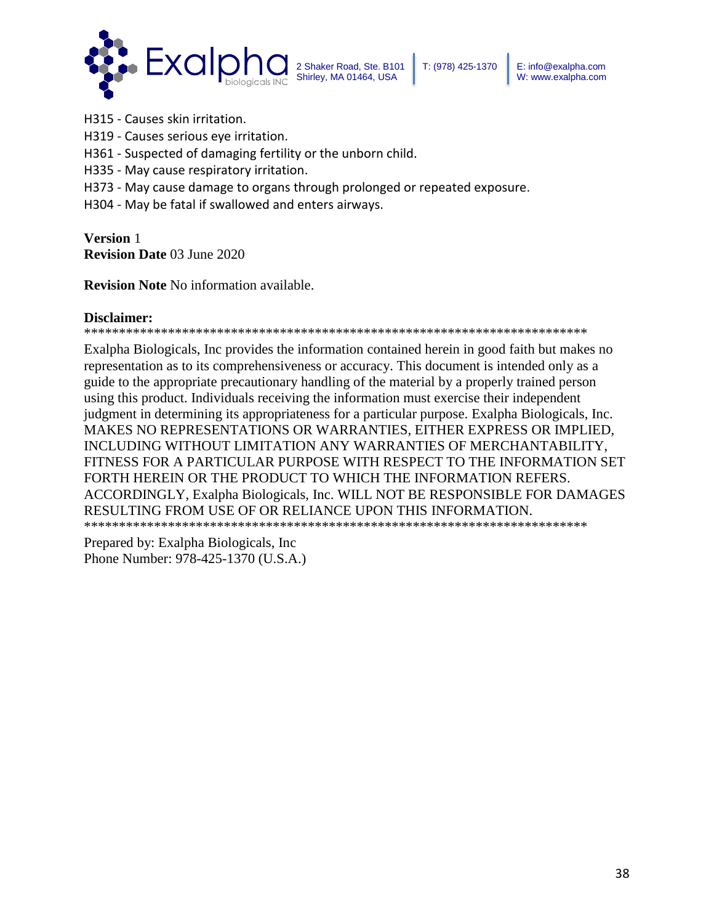

H315 - Causes skin irritation.

H319 - Causes serious eye irritation.

H361 - Suspected of damaging fertility or the unborn child.

H335 - May cause respiratory irritation.

H373 - May cause damage to organs through prolonged or repeated exposure.

H304 - May be fatal if swallowed and enters airways.

**Version** 1 **Revision Date** 03 June 2020

**Revision Note** No information available.

### **Disclaimer:**

\*\*\*\*\*\*\*\*\*\*\*\*\*\*\*\*\*\*\*\*\*\*\*\*\*\*\*\*\*\*\*\*\*\*\*\*\*\*\*\*\*\*\*\*\*\*\*\*\*\*\*\*\*\*\*\*\*\*\*\*\*\*\*\*\*\*\*\*\*\*\*\*

Exalpha Biologicals, Inc provides the information contained herein in good faith but makes no representation as to its comprehensiveness or accuracy. This document is intended only as a guide to the appropriate precautionary handling of the material by a properly trained person using this product. Individuals receiving the information must exercise their independent judgment in determining its appropriateness for a particular purpose. Exalpha Biologicals, Inc. MAKES NO REPRESENTATIONS OR WARRANTIES, EITHER EXPRESS OR IMPLIED, INCLUDING WITHOUT LIMITATION ANY WARRANTIES OF MERCHANTABILITY, FITNESS FOR A PARTICULAR PURPOSE WITH RESPECT TO THE INFORMATION SET FORTH HEREIN OR THE PRODUCT TO WHICH THE INFORMATION REFERS. ACCORDINGLY, Exalpha Biologicals, Inc. WILL NOT BE RESPONSIBLE FOR DAMAGES RESULTING FROM USE OF OR RELIANCE UPON THIS INFORMATION. \*\*\*\*\*\*\*\*\*\*\*\*\*\*\*\*\*\*\*\*\*\*\*\*\*\*\*\*\*\*\*\*\*\*\*\*\*\*\*\*\*\*\*\*\*\*\*\*\*\*\*\*\*\*\*\*\*\*\*\*\*\*\*\*\*\*\*\*\*\*\*\*

Prepared by: Exalpha Biologicals, Inc Phone Number: 978-425-1370 (U.S.A.)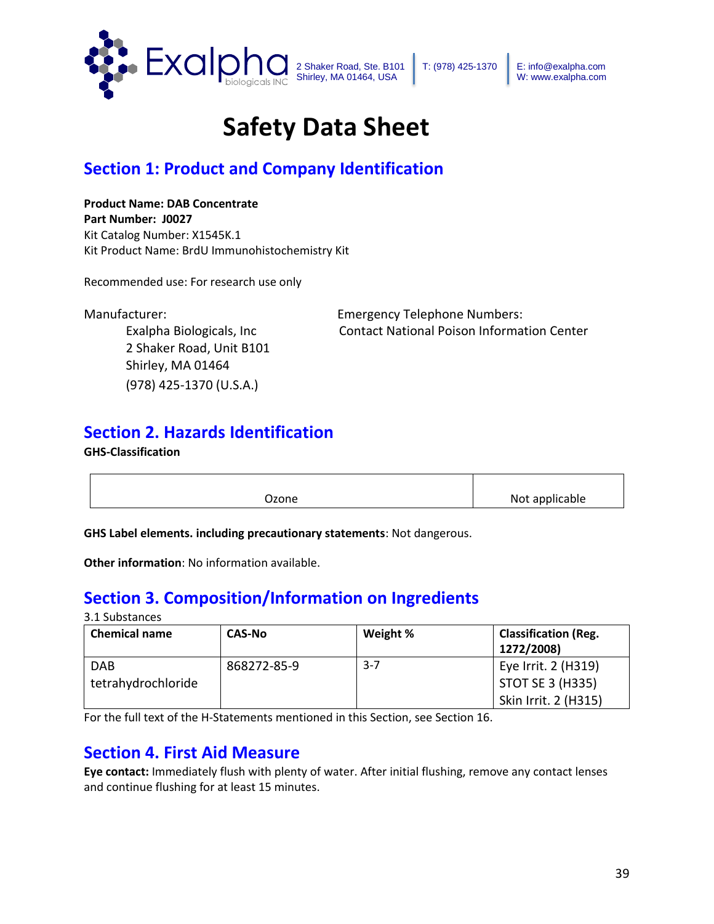

# **Safety Data Sheet**

# **Section 1: Product and Company Identification**

### **Product Name: DAB Concentrate Part Number: J0027** Kit Catalog Number: X1545K.1 Kit Product Name: BrdU Immunohistochemistry Kit

Recommended use: For research use only

2 Shaker Road, Unit B101 Shirley, MA 01464 (978) 425-1370 (U.S.A.)

Manufacturer: Emergency Telephone Numbers: Exalpha Biologicals, Inc Contact National Poison Information Center

# **Section 2. Hazards Identification**

**GHS-Classification**

| Ozone | Not applicable |
|-------|----------------|

**GHS Label elements. including precautionary statements**: Not dangerous.

**Other information**: No information available.

# **Section 3. Composition/Information on Ingredients**

### 3.1 Substances

| <b>Chemical name</b> | <b>CAS-No</b> | Weight % | <b>Classification (Reg.</b><br>1272/2008) |
|----------------------|---------------|----------|-------------------------------------------|
| <b>DAB</b>           | 868272-85-9   | $3 - 7$  | Eye Irrit. 2 (H319)                       |
| tetrahydrochloride   |               |          | <b>STOT SE 3 (H335)</b>                   |
|                      |               |          | Skin Irrit. 2 (H315)                      |

For the full text of the H-Statements mentioned in this Section, see Section 16.

## **Section 4. First Aid Measure**

**Eye contact:** Immediately flush with plenty of water. After initial flushing, remove any contact lenses and continue flushing for at least 15 minutes.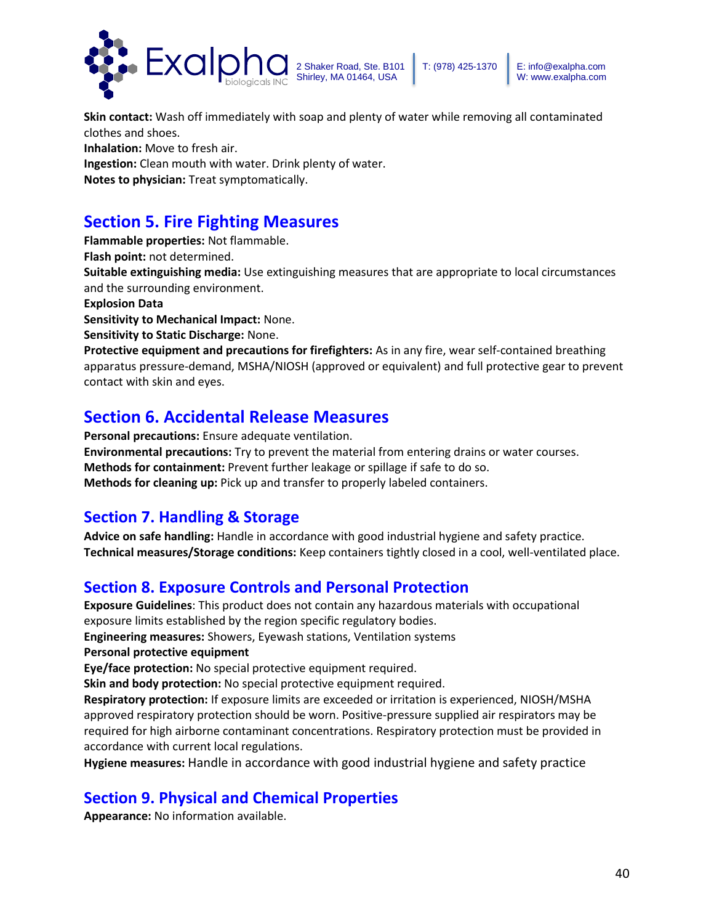

**Skin contact:** Wash off immediately with soap and plenty of water while removing all contaminated clothes and shoes. **Inhalation:** Move to fresh air. **Ingestion:** Clean mouth with water. Drink plenty of water. **Notes to physician:** Treat symptomatically.

# **Section 5. Fire Fighting Measures**

**Flammable properties:** Not flammable. **Flash point:** not determined. **Suitable extinguishing media:** Use extinguishing measures that are appropriate to local circumstances and the surrounding environment. **Explosion Data Sensitivity to Mechanical Impact:** None. **Sensitivity to Static Discharge:** None. **Protective equipment and precautions for firefighters:** As in any fire, wear self-contained breathing apparatus pressure-demand, MSHA/NIOSH (approved or equivalent) and full protective gear to prevent contact with skin and eyes.

## **Section 6. Accidental Release Measures**

**Personal precautions:** Ensure adequate ventilation. **Environmental precautions:** Try to prevent the material from entering drains or water courses. **Methods for containment:** Prevent further leakage or spillage if safe to do so. **Methods for cleaning up:** Pick up and transfer to properly labeled containers.

## **Section 7. Handling & Storage**

**Advice on safe handling:** Handle in accordance with good industrial hygiene and safety practice. **Technical measures/Storage conditions:** Keep containers tightly closed in a cool, well-ventilated place.

## **Section 8. Exposure Controls and Personal Protection**

**Exposure Guidelines**: This product does not contain any hazardous materials with occupational exposure limits established by the region specific regulatory bodies.

**Engineering measures:** Showers, Eyewash stations, Ventilation systems

### **Personal protective equipment**

**Eye/face protection:** No special protective equipment required.

**Skin and body protection:** No special protective equipment required.

**Respiratory protection:** If exposure limits are exceeded or irritation is experienced, NIOSH/MSHA approved respiratory protection should be worn. Positive-pressure supplied air respirators may be required for high airborne contaminant concentrations. Respiratory protection must be provided in accordance with current local regulations.

**Hygiene measures:** Handle in accordance with good industrial hygiene and safety practice

## **Section 9. Physical and Chemical Properties**

**Appearance:** No information available.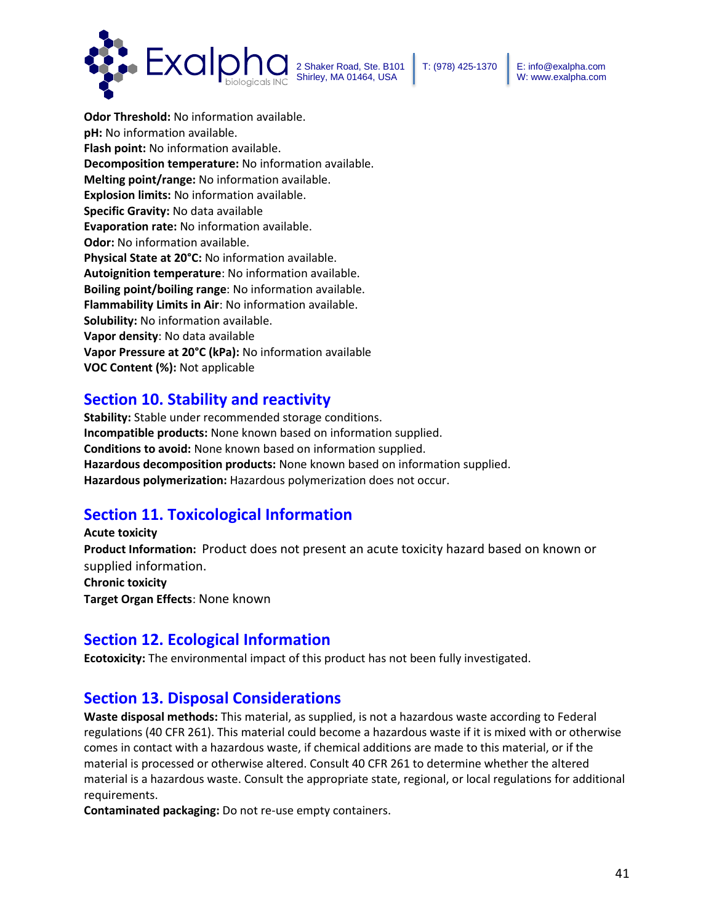



**Odor Threshold:** No information available. **pH:** No information available. **Flash point:** No information available. **Decomposition temperature:** No information available. **Melting point/range:** No information available. **Explosion limits:** No information available. **Specific Gravity:** No data available **Evaporation rate:** No information available. **Odor:** No information available. **Physical State at 20°C:** No information available. **Autoignition temperature**: No information available. **Boiling point/boiling range**: No information available. **Flammability Limits in Air**: No information available. **Solubility:** No information available. **Vapor density**: No data available **Vapor Pressure at 20°C (kPa):** No information available **VOC Content (%):** Not applicable

## **Section 10. Stability and reactivity**

**Stability:** Stable under recommended storage conditions. **Incompatible products:** None known based on information supplied. **Conditions to avoid:** None known based on information supplied. **Hazardous decomposition products:** None known based on information supplied. **Hazardous polymerization:** Hazardous polymerization does not occur.

## **Section 11. Toxicological Information**

**Acute toxicity Product Information:** Product does not present an acute toxicity hazard based on known or supplied information. **Chronic toxicity Target Organ Effects**: None known

## **Section 12. Ecological Information**

**Ecotoxicity:** The environmental impact of this product has not been fully investigated.

## **Section 13. Disposal Considerations**

**Waste disposal methods:** This material, as supplied, is not a hazardous waste according to Federal regulations (40 CFR 261). This material could become a hazardous waste if it is mixed with or otherwise comes in contact with a hazardous waste, if chemical additions are made to this material, or if the material is processed or otherwise altered. Consult 40 CFR 261 to determine whether the altered material is a hazardous waste. Consult the appropriate state, regional, or local regulations for additional requirements.

**Contaminated packaging:** Do not re-use empty containers.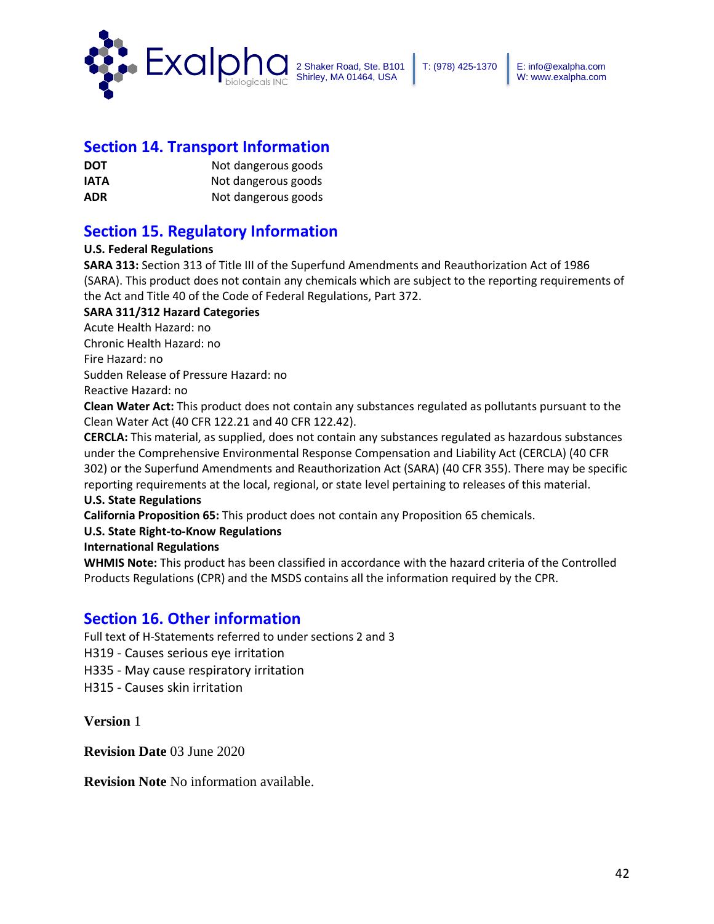

### **Section 14. Transport Information**

| <b>DOT</b>  | Not dangerous goods |
|-------------|---------------------|
| <b>IATA</b> | Not dangerous goods |
| <b>ADR</b>  | Not dangerous goods |

## **Section 15. Regulatory Information**

### **U.S. Federal Regulations**

**SARA 313:** Section 313 of Title III of the Superfund Amendments and Reauthorization Act of 1986 (SARA). This product does not contain any chemicals which are subject to the reporting requirements of the Act and Title 40 of the Code of Federal Regulations, Part 372.

### **SARA 311/312 Hazard Categories**

Acute Health Hazard: no Chronic Health Hazard: no Fire Hazard: no Sudden Release of Pressure Hazard: no

Reactive Hazard: no

**Clean Water Act:** This product does not contain any substances regulated as pollutants pursuant to the Clean Water Act (40 CFR 122.21 and 40 CFR 122.42).

**CERCLA:** This material, as supplied, does not contain any substances regulated as hazardous substances under the Comprehensive Environmental Response Compensation and Liability Act (CERCLA) (40 CFR 302) or the Superfund Amendments and Reauthorization Act (SARA) (40 CFR 355). There may be specific reporting requirements at the local, regional, or state level pertaining to releases of this material.

### **U.S. State Regulations**

**California Proposition 65:** This product does not contain any Proposition 65 chemicals.

### **U.S. State Right-to-Know Regulations**

**International Regulations** 

**WHMIS Note:** This product has been classified in accordance with the hazard criteria of the Controlled Products Regulations (CPR) and the MSDS contains all the information required by the CPR.

### **Section 16. Other information**

Full text of H-Statements referred to under sections 2 and 3

- H319 Causes serious eye irritation
- H335 May cause respiratory irritation
- H315 Causes skin irritation

**Version** 1

**Revision Date** 03 June 2020

**Revision Note** No information available.